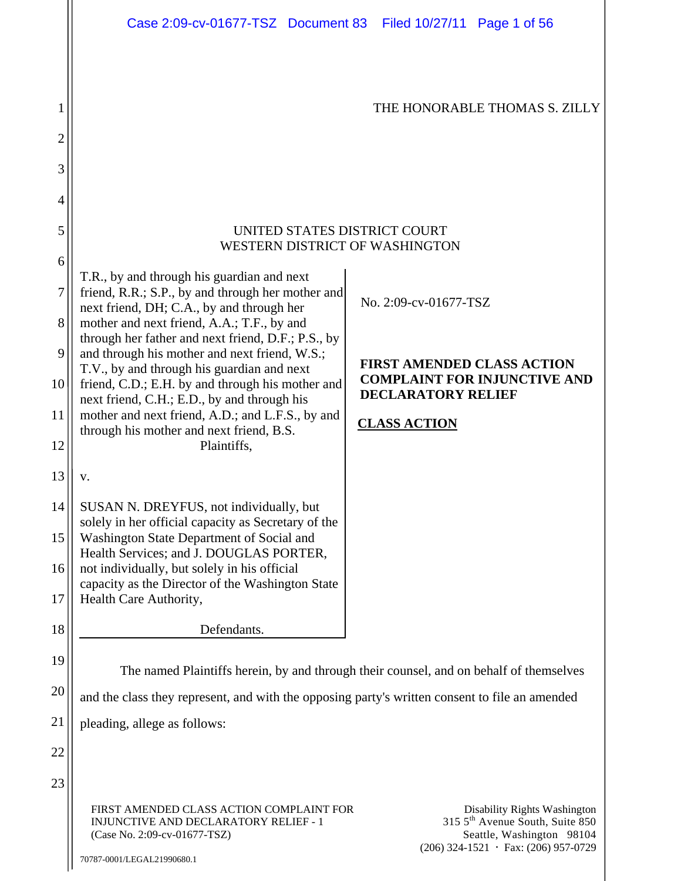|    | Case 2:09-cv-01677-TSZ Document 83 Filed 10/27/11 Page 1 of 56                                                                                  |                                                                                                                                                      |  |
|----|-------------------------------------------------------------------------------------------------------------------------------------------------|------------------------------------------------------------------------------------------------------------------------------------------------------|--|
|    |                                                                                                                                                 |                                                                                                                                                      |  |
| 1  |                                                                                                                                                 | THE HONORABLE THOMAS S. ZILLY                                                                                                                        |  |
| 2  |                                                                                                                                                 |                                                                                                                                                      |  |
| 3  |                                                                                                                                                 |                                                                                                                                                      |  |
| 4  |                                                                                                                                                 |                                                                                                                                                      |  |
| 5  | UNITED STATES DISTRICT COURT<br>WESTERN DISTRICT OF WASHINGTON                                                                                  |                                                                                                                                                      |  |
| 6  |                                                                                                                                                 |                                                                                                                                                      |  |
| 7  | T.R., by and through his guardian and next<br>friend, R.R.; S.P., by and through her mother and<br>next friend, DH; C.A., by and through her    | No. 2:09-cv-01677-TSZ                                                                                                                                |  |
| 8  | mother and next friend, A.A.; T.F., by and<br>through her father and next friend, D.F.; P.S., by                                                |                                                                                                                                                      |  |
| 9  | and through his mother and next friend, W.S.;                                                                                                   | <b>FIRST AMENDED CLASS ACTION</b>                                                                                                                    |  |
| 10 | T.V., by and through his guardian and next<br>friend, C.D.; E.H. by and through his mother and<br>next friend, C.H.; E.D., by and through his   | <b>COMPLAINT FOR INJUNCTIVE AND</b><br><b>DECLARATORY RELIEF</b>                                                                                     |  |
| 11 | mother and next friend, A.D.; and L.F.S., by and<br>through his mother and next friend, B.S.                                                    | <b>CLASS ACTION</b>                                                                                                                                  |  |
| 12 | Plaintiffs,                                                                                                                                     |                                                                                                                                                      |  |
| 13 | v.                                                                                                                                              |                                                                                                                                                      |  |
| 14 | SUSAN N. DREYFUS, not individually, but                                                                                                         |                                                                                                                                                      |  |
| 15 | solely in her official capacity as Secretary of the<br>Washington State Department of Social and                                                |                                                                                                                                                      |  |
| 16 | Health Services; and J. DOUGLAS PORTER,<br>not individually, but solely in his official                                                         |                                                                                                                                                      |  |
| 17 | capacity as the Director of the Washington State<br>Health Care Authority,                                                                      |                                                                                                                                                      |  |
| 18 | Defendants.                                                                                                                                     |                                                                                                                                                      |  |
| 19 | The named Plaintiffs herein, by and through their counsel, and on behalf of themselves                                                          |                                                                                                                                                      |  |
| 20 | and the class they represent, and with the opposing party's written consent to file an amended                                                  |                                                                                                                                                      |  |
| 21 | pleading, allege as follows:                                                                                                                    |                                                                                                                                                      |  |
| 22 |                                                                                                                                                 |                                                                                                                                                      |  |
| 23 |                                                                                                                                                 |                                                                                                                                                      |  |
|    | FIRST AMENDED CLASS ACTION COMPLAINT FOR<br>INJUNCTIVE AND DECLARATORY RELIEF - 1<br>(Case No. 2:09-cv-01677-TSZ)<br>70787-0001/LEGAL21990680.1 | Disability Rights Washington<br>315 5 <sup>th</sup> Avenue South, Suite 850<br>Seattle, Washington 98104<br>$(206)$ 324-1521 · Fax: $(206)$ 957-0729 |  |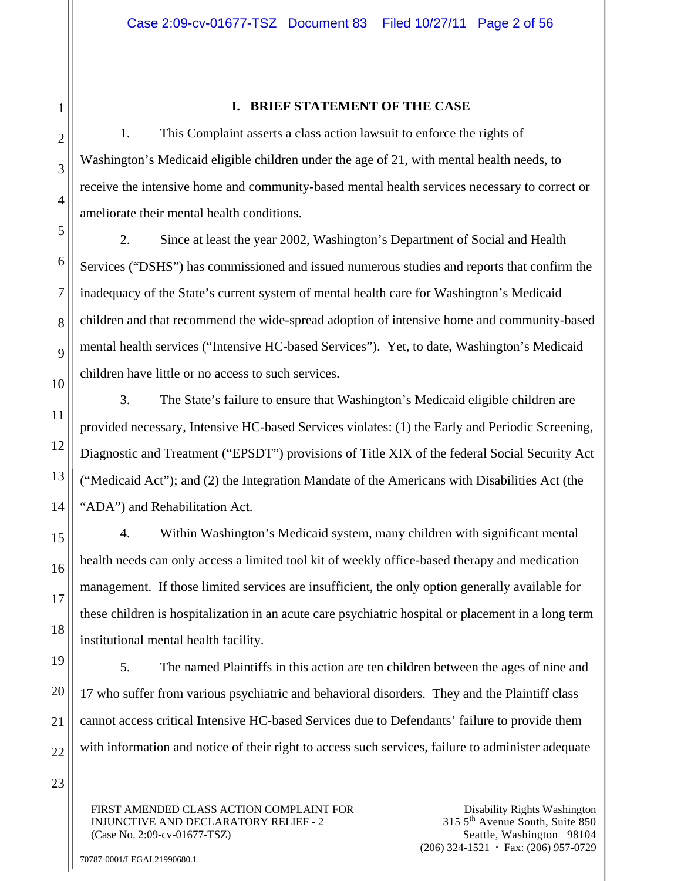#### **I. BRIEF STATEMENT OF THE CASE**

1. This Complaint asserts a class action lawsuit to enforce the rights of Washington's Medicaid eligible children under the age of 21, with mental health needs, to receive the intensive home and community-based mental health services necessary to correct or ameliorate their mental health conditions.

2. Since at least the year 2002, Washington's Department of Social and Health Services ("DSHS") has commissioned and issued numerous studies and reports that confirm the inadequacy of the State's current system of mental health care for Washington's Medicaid children and that recommend the wide-spread adoption of intensive home and community-based mental health services ("Intensive HC-based Services"). Yet, to date, Washington's Medicaid children have little or no access to such services.

3. The State's failure to ensure that Washington's Medicaid eligible children are provided necessary, Intensive HC-based Services violates: (1) the Early and Periodic Screening, Diagnostic and Treatment ("EPSDT") provisions of Title XIX of the federal Social Security Act ("Medicaid Act"); and (2) the Integration Mandate of the Americans with Disabilities Act (the "ADA") and Rehabilitation Act.

4. Within Washington's Medicaid system, many children with significant mental health needs can only access a limited tool kit of weekly office-based therapy and medication management. If those limited services are insufficient, the only option generally available for these children is hospitalization in an acute care psychiatric hospital or placement in a long term institutional mental health facility.

5. The named Plaintiffs in this action are ten children between the ages of nine and 17 who suffer from various psychiatric and behavioral disorders. They and the Plaintiff class cannot access critical Intensive HC-based Services due to Defendants' failure to provide them with information and notice of their right to access such services, failure to administer adequate

FIRST AMENDED CLASS ACTION COMPLAINT FOR INJUNCTIVE AND DECLARATORY RELIEF - 2 (Case No. 2:09-cv-01677-TSZ)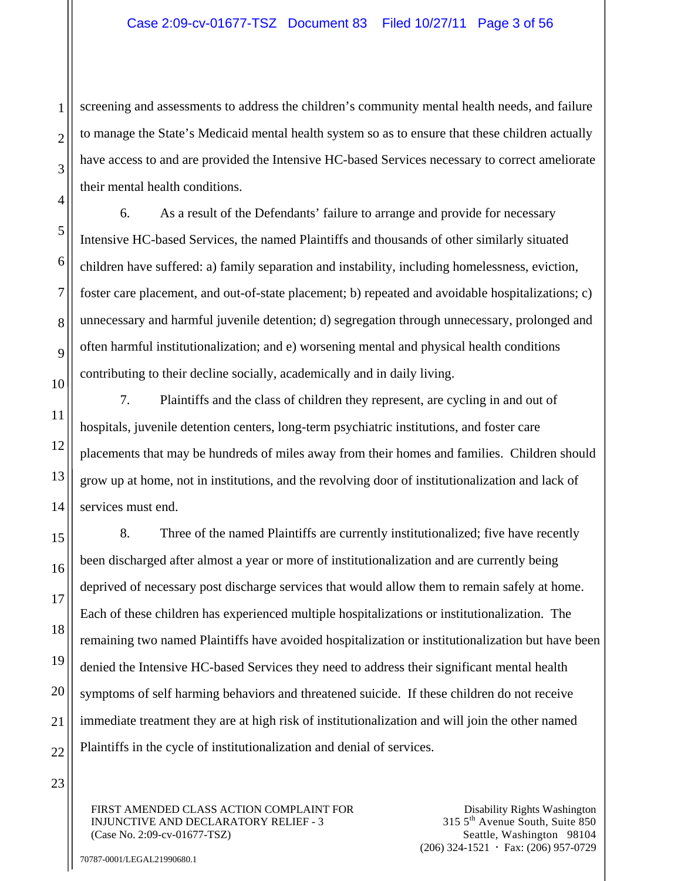screening and assessments to address the children's community mental health needs, and failure to manage the State's Medicaid mental health system so as to ensure that these children actually have access to and are provided the Intensive HC-based Services necessary to correct ameliorate their mental health conditions.

6. As a result of the Defendants' failure to arrange and provide for necessary Intensive HC-based Services, the named Plaintiffs and thousands of other similarly situated children have suffered: a) family separation and instability, including homelessness, eviction, foster care placement, and out-of-state placement; b) repeated and avoidable hospitalizations; c) unnecessary and harmful juvenile detention; d) segregation through unnecessary, prolonged and often harmful institutionalization; and e) worsening mental and physical health conditions contributing to their decline socially, academically and in daily living.

7. Plaintiffs and the class of children they represent, are cycling in and out of hospitals, juvenile detention centers, long-term psychiatric institutions, and foster care placements that may be hundreds of miles away from their homes and families. Children should grow up at home, not in institutions, and the revolving door of institutionalization and lack of services must end.

8. Three of the named Plaintiffs are currently institutionalized; five have recently been discharged after almost a year or more of institutionalization and are currently being deprived of necessary post discharge services that would allow them to remain safely at home. Each of these children has experienced multiple hospitalizations or institutionalization. The remaining two named Plaintiffs have avoided hospitalization or institutionalization but have been denied the Intensive HC-based Services they need to address their significant mental health symptoms of self harming behaviors and threatened suicide. If these children do not receive immediate treatment they are at high risk of institutionalization and will join the other named Plaintiffs in the cycle of institutionalization and denial of services.

FIRST AMENDED CLASS ACTION COMPLAINT FOR INJUNCTIVE AND DECLARATORY RELIEF - 3 (Case No. 2:09-cv-01677-TSZ)

Disability Rights Washington 315 5th Avenue South, Suite 850 Seattle, Washington 98104  $(206)$  324-1521  $\cdot$  Fax: (206) 957-0729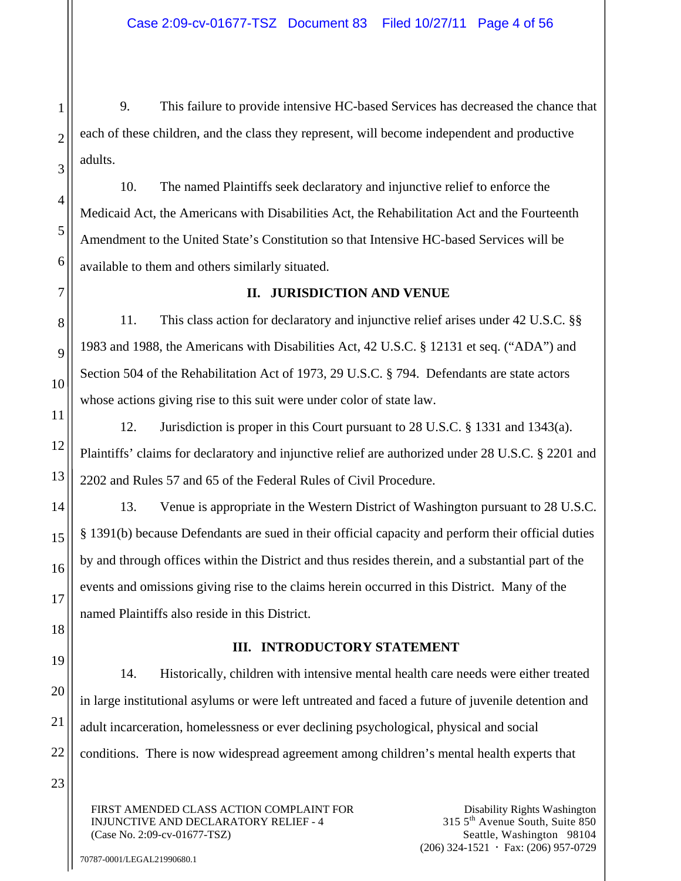9. This failure to provide intensive HC-based Services has decreased the chance that each of these children, and the class they represent, will become independent and productive adults.

10. The named Plaintiffs seek declaratory and injunctive relief to enforce the Medicaid Act, the Americans with Disabilities Act, the Rehabilitation Act and the Fourteenth Amendment to the United State's Constitution so that Intensive HC-based Services will be available to them and others similarly situated.

## **II. JURISDICTION AND VENUE**

11. This class action for declaratory and injunctive relief arises under 42 U.S.C. §§ 1983 and 1988, the Americans with Disabilities Act, 42 U.S.C. § 12131 et seq. ("ADA") and Section 504 of the Rehabilitation Act of 1973, 29 U.S.C. § 794. Defendants are state actors whose actions giving rise to this suit were under color of state law.

12. Jurisdiction is proper in this Court pursuant to 28 U.S.C. § 1331 and 1343(a). Plaintiffs' claims for declaratory and injunctive relief are authorized under 28 U.S.C. § 2201 and 2202 and Rules 57 and 65 of the Federal Rules of Civil Procedure.

13. Venue is appropriate in the Western District of Washington pursuant to 28 U.S.C. § 1391(b) because Defendants are sued in their official capacity and perform their official duties by and through offices within the District and thus resides therein, and a substantial part of the events and omissions giving rise to the claims herein occurred in this District. Many of the named Plaintiffs also reside in this District.

# **III. INTRODUCTORY STATEMENT**

14. Historically, children with intensive mental health care needs were either treated in large institutional asylums or were left untreated and faced a future of juvenile detention and adult incarceration, homelessness or ever declining psychological, physical and social conditions. There is now widespread agreement among children's mental health experts that

FIRST AMENDED CLASS ACTION COMPLAINT FOR INJUNCTIVE AND DECLARATORY RELIEF - 4 (Case No. 2:09-cv-01677-TSZ)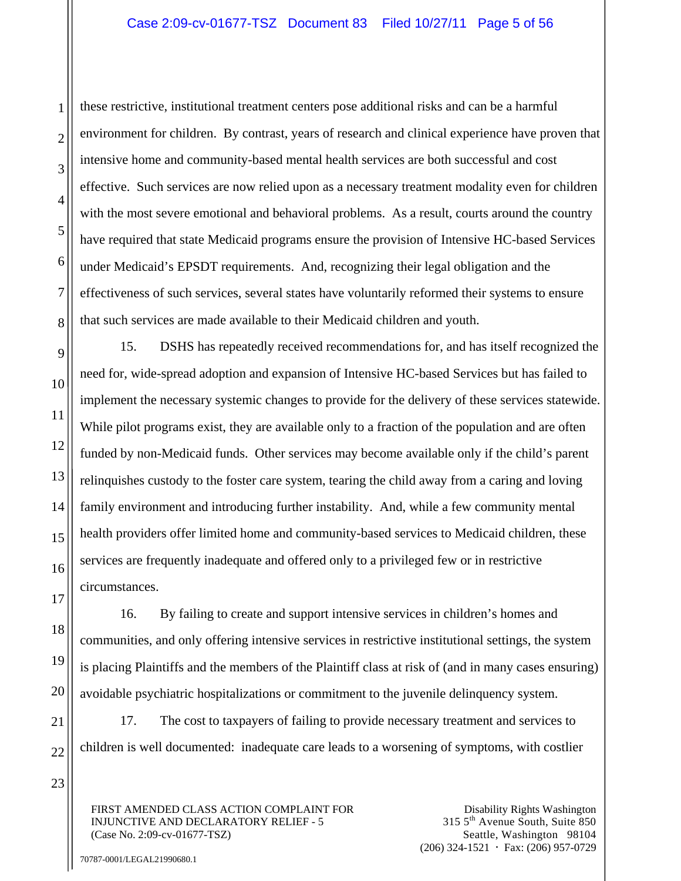these restrictive, institutional treatment centers pose additional risks and can be a harmful environment for children. By contrast, years of research and clinical experience have proven that intensive home and community-based mental health services are both successful and cost effective. Such services are now relied upon as a necessary treatment modality even for children with the most severe emotional and behavioral problems. As a result, courts around the country have required that state Medicaid programs ensure the provision of Intensive HC-based Services under Medicaid's EPSDT requirements. And, recognizing their legal obligation and the effectiveness of such services, several states have voluntarily reformed their systems to ensure that such services are made available to their Medicaid children and youth.

15. DSHS has repeatedly received recommendations for, and has itself recognized the need for, wide-spread adoption and expansion of Intensive HC-based Services but has failed to implement the necessary systemic changes to provide for the delivery of these services statewide. While pilot programs exist, they are available only to a fraction of the population and are often funded by non-Medicaid funds. Other services may become available only if the child's parent relinquishes custody to the foster care system, tearing the child away from a caring and loving family environment and introducing further instability. And, while a few community mental health providers offer limited home and community-based services to Medicaid children, these services are frequently inadequate and offered only to a privileged few or in restrictive circumstances.

16. By failing to create and support intensive services in children's homes and communities, and only offering intensive services in restrictive institutional settings, the system is placing Plaintiffs and the members of the Plaintiff class at risk of (and in many cases ensuring) avoidable psychiatric hospitalizations or commitment to the juvenile delinquency system.

17. The cost to taxpayers of failing to provide necessary treatment and services to children is well documented: inadequate care leads to a worsening of symptoms, with costlier

FIRST AMENDED CLASS ACTION COMPLAINT FOR INJUNCTIVE AND DECLARATORY RELIEF - 5 (Case No. 2:09-cv-01677-TSZ)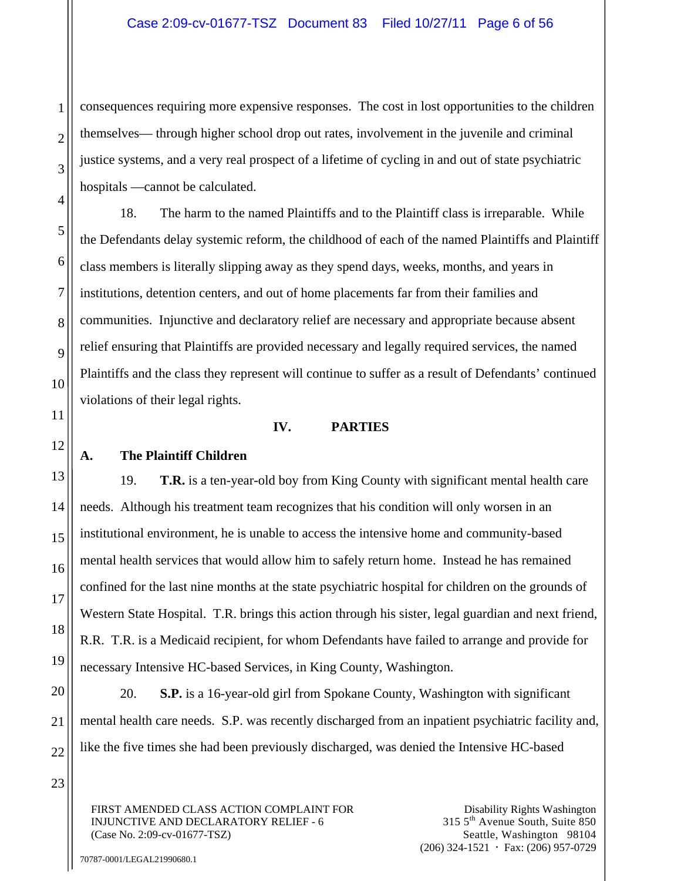consequences requiring more expensive responses. The cost in lost opportunities to the children themselves— through higher school drop out rates, involvement in the juvenile and criminal justice systems, and a very real prospect of a lifetime of cycling in and out of state psychiatric hospitals —cannot be calculated.

18. The harm to the named Plaintiffs and to the Plaintiff class is irreparable. While the Defendants delay systemic reform, the childhood of each of the named Plaintiffs and Plaintiff class members is literally slipping away as they spend days, weeks, months, and years in institutions, detention centers, and out of home placements far from their families and communities. Injunctive and declaratory relief are necessary and appropriate because absent relief ensuring that Plaintiffs are provided necessary and legally required services, the named Plaintiffs and the class they represent will continue to suffer as a result of Defendants' continued violations of their legal rights.

### **IV. PARTIES**

## **A. The Plaintiff Children**

19. **T.R.** is a ten-year-old boy from King County with significant mental health care needs. Although his treatment team recognizes that his condition will only worsen in an institutional environment, he is unable to access the intensive home and community-based mental health services that would allow him to safely return home. Instead he has remained confined for the last nine months at the state psychiatric hospital for children on the grounds of Western State Hospital. T.R. brings this action through his sister, legal guardian and next friend, R.R. T.R. is a Medicaid recipient, for whom Defendants have failed to arrange and provide for necessary Intensive HC-based Services, in King County, Washington.

20. **S.P.** is a 16-year-old girl from Spokane County, Washington with significant mental health care needs. S.P. was recently discharged from an inpatient psychiatric facility and, like the five times she had been previously discharged, was denied the Intensive HC-based

FIRST AMENDED CLASS ACTION COMPLAINT FOR INJUNCTIVE AND DECLARATORY RELIEF - 6 (Case No. 2:09-cv-01677-TSZ)

Disability Rights Washington 315 5th Avenue South, Suite 850 Seattle, Washington 98104  $(206)$  324-1521  $\cdot$  Fax: (206) 957-0729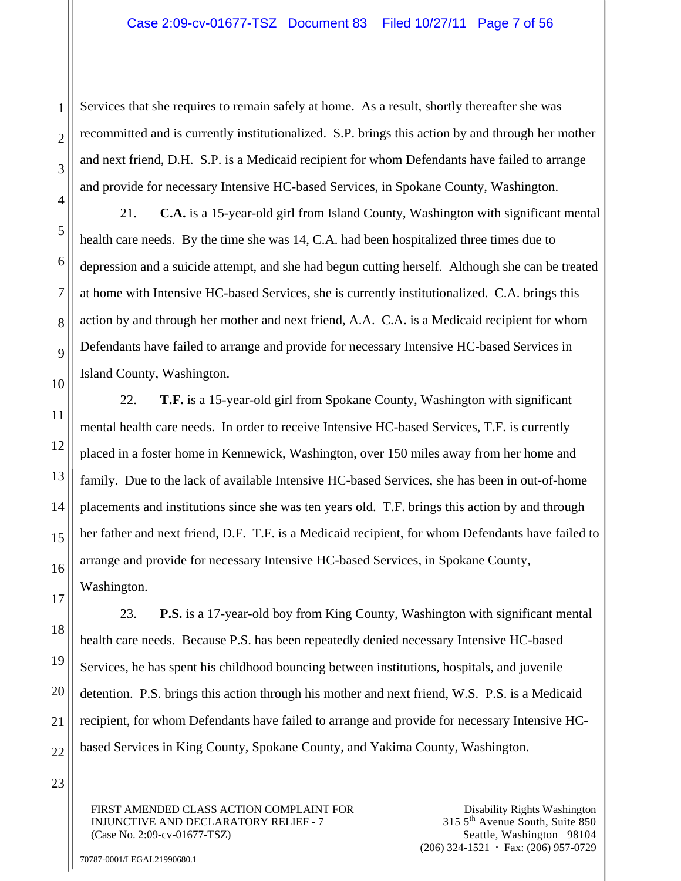Services that she requires to remain safely at home. As a result, shortly thereafter she was recommitted and is currently institutionalized. S.P. brings this action by and through her mother and next friend, D.H. S.P. is a Medicaid recipient for whom Defendants have failed to arrange and provide for necessary Intensive HC-based Services, in Spokane County, Washington.

21. **C.A.** is a 15-year-old girl from Island County, Washington with significant mental health care needs. By the time she was 14, C.A. had been hospitalized three times due to depression and a suicide attempt, and she had begun cutting herself. Although she can be treated at home with Intensive HC-based Services, she is currently institutionalized. C.A. brings this action by and through her mother and next friend, A.A. C.A. is a Medicaid recipient for whom Defendants have failed to arrange and provide for necessary Intensive HC-based Services in Island County, Washington.

22. **T.F.** is a 15-year-old girl from Spokane County, Washington with significant mental health care needs. In order to receive Intensive HC-based Services, T.F. is currently placed in a foster home in Kennewick, Washington, over 150 miles away from her home and family. Due to the lack of available Intensive HC-based Services, she has been in out-of-home placements and institutions since she was ten years old. T.F. brings this action by and through her father and next friend, D.F. T.F. is a Medicaid recipient, for whom Defendants have failed to arrange and provide for necessary Intensive HC-based Services, in Spokane County, Washington.

23. **P.S.** is a 17-year-old boy from King County, Washington with significant mental health care needs. Because P.S. has been repeatedly denied necessary Intensive HC-based Services, he has spent his childhood bouncing between institutions, hospitals, and juvenile detention. P.S. brings this action through his mother and next friend, W.S. P.S. is a Medicaid recipient, for whom Defendants have failed to arrange and provide for necessary Intensive HCbased Services in King County, Spokane County, and Yakima County, Washington.

23

1

2

3

4

5

6

7

8

9

10

11

12

13

14

15

16

17

18

19

20

21

22

FIRST AMENDED CLASS ACTION COMPLAINT FOR INJUNCTIVE AND DECLARATORY RELIEF - 7 (Case No. 2:09-cv-01677-TSZ)

Disability Rights Washington 315 5th Avenue South, Suite 850 Seattle, Washington 98104  $(206)$  324-1521  $\cdot$  Fax: (206) 957-0729

70787-0001/LEGAL21990680.1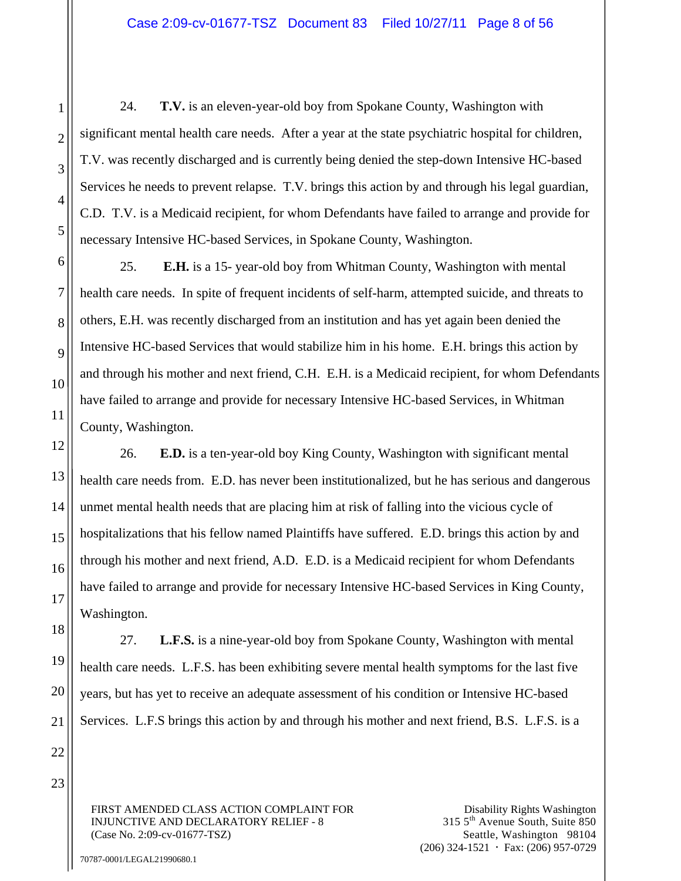24. **T.V.** is an eleven-year-old boy from Spokane County, Washington with significant mental health care needs. After a year at the state psychiatric hospital for children, T.V. was recently discharged and is currently being denied the step-down Intensive HC-based Services he needs to prevent relapse. T.V. brings this action by and through his legal guardian, C.D. T.V. is a Medicaid recipient, for whom Defendants have failed to arrange and provide for necessary Intensive HC-based Services, in Spokane County, Washington.

25. **E.H.** is a 15- year-old boy from Whitman County, Washington with mental health care needs. In spite of frequent incidents of self-harm, attempted suicide, and threats to others, E.H. was recently discharged from an institution and has yet again been denied the Intensive HC-based Services that would stabilize him in his home. E.H. brings this action by and through his mother and next friend, C.H. E.H. is a Medicaid recipient, for whom Defendants have failed to arrange and provide for necessary Intensive HC-based Services, in Whitman County, Washington.

26. **E.D.** is a ten-year-old boy King County, Washington with significant mental health care needs from. E.D. has never been institutionalized, but he has serious and dangerous unmet mental health needs that are placing him at risk of falling into the vicious cycle of hospitalizations that his fellow named Plaintiffs have suffered. E.D. brings this action by and through his mother and next friend, A.D. E.D. is a Medicaid recipient for whom Defendants have failed to arrange and provide for necessary Intensive HC-based Services in King County, Washington.

27. **L.F.S.** is a nine-year-old boy from Spokane County, Washington with mental health care needs. L.F.S. has been exhibiting severe mental health symptoms for the last five years, but has yet to receive an adequate assessment of his condition or Intensive HC-based Services. L.F.S brings this action by and through his mother and next friend, B.S. L.F.S. is a

FIRST AMENDED CLASS ACTION COMPLAINT FOR INJUNCTIVE AND DECLARATORY RELIEF - 8 (Case No. 2:09-cv-01677-TSZ)

1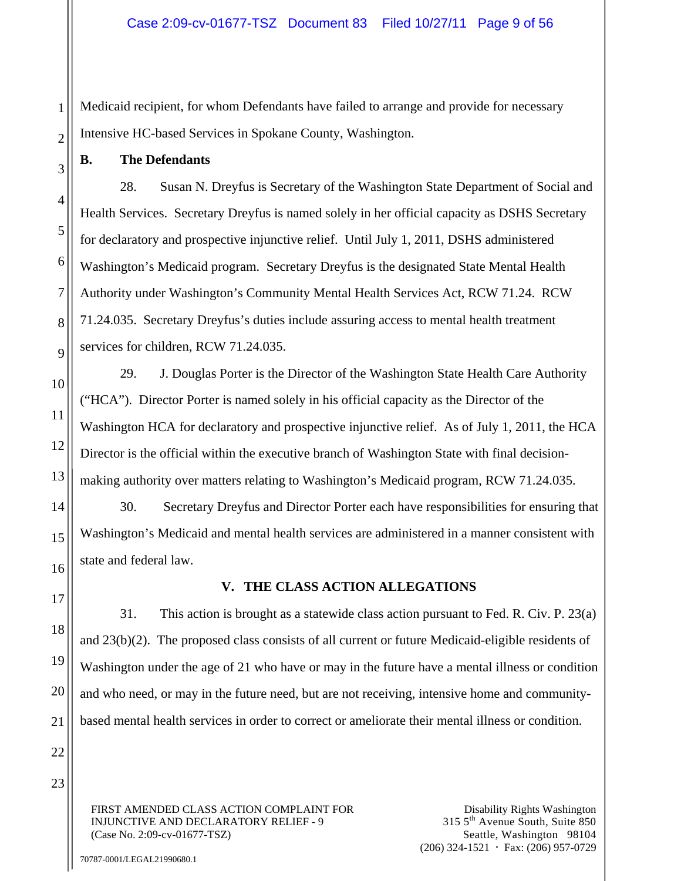Medicaid recipient, for whom Defendants have failed to arrange and provide for necessary Intensive HC-based Services in Spokane County, Washington.

### **B. The Defendants**

28. Susan N. Dreyfus is Secretary of the Washington State Department of Social and Health Services. Secretary Dreyfus is named solely in her official capacity as DSHS Secretary for declaratory and prospective injunctive relief. Until July 1, 2011, DSHS administered Washington's Medicaid program. Secretary Dreyfus is the designated State Mental Health Authority under Washington's Community Mental Health Services Act, RCW 71.24. RCW 71.24.035. Secretary Dreyfus's duties include assuring access to mental health treatment services for children, RCW 71.24.035.

29. J. Douglas Porter is the Director of the Washington State Health Care Authority ("HCA"). Director Porter is named solely in his official capacity as the Director of the Washington HCA for declaratory and prospective injunctive relief. As of July 1, 2011, the HCA Director is the official within the executive branch of Washington State with final decisionmaking authority over matters relating to Washington's Medicaid program, RCW 71.24.035.

30. Secretary Dreyfus and Director Porter each have responsibilities for ensuring that Washington's Medicaid and mental health services are administered in a manner consistent with state and federal law.

## **V. THE CLASS ACTION ALLEGATIONS**

31. This action is brought as a statewide class action pursuant to Fed. R. Civ. P. 23(a) and 23(b)(2). The proposed class consists of all current or future Medicaid-eligible residents of Washington under the age of 21 who have or may in the future have a mental illness or condition and who need, or may in the future need, but are not receiving, intensive home and communitybased mental health services in order to correct or ameliorate their mental illness or condition.

FIRST AMENDED CLASS ACTION COMPLAINT FOR INJUNCTIVE AND DECLARATORY RELIEF - 9 (Case No. 2:09-cv-01677-TSZ)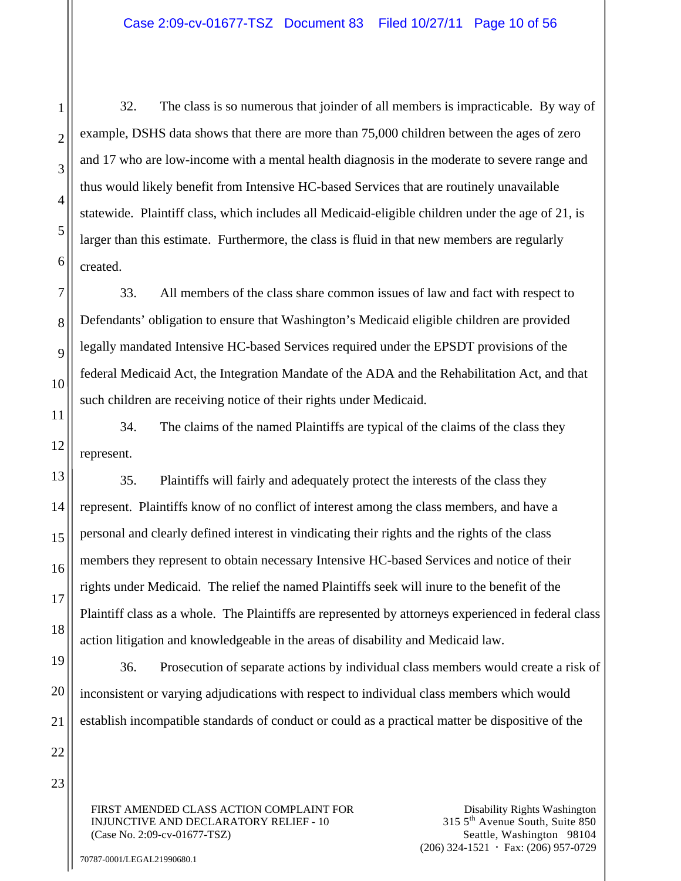32. The class is so numerous that joinder of all members is impracticable. By way of example, DSHS data shows that there are more than 75,000 children between the ages of zero and 17 who are low-income with a mental health diagnosis in the moderate to severe range and thus would likely benefit from Intensive HC-based Services that are routinely unavailable statewide. Plaintiff class, which includes all Medicaid-eligible children under the age of 21, is larger than this estimate. Furthermore, the class is fluid in that new members are regularly created.

33. All members of the class share common issues of law and fact with respect to Defendants' obligation to ensure that Washington's Medicaid eligible children are provided legally mandated Intensive HC-based Services required under the EPSDT provisions of the federal Medicaid Act, the Integration Mandate of the ADA and the Rehabilitation Act, and that such children are receiving notice of their rights under Medicaid.

34. The claims of the named Plaintiffs are typical of the claims of the class they represent.

35. Plaintiffs will fairly and adequately protect the interests of the class they represent. Plaintiffs know of no conflict of interest among the class members, and have a personal and clearly defined interest in vindicating their rights and the rights of the class members they represent to obtain necessary Intensive HC-based Services and notice of their rights under Medicaid. The relief the named Plaintiffs seek will inure to the benefit of the Plaintiff class as a whole. The Plaintiffs are represented by attorneys experienced in federal class action litigation and knowledgeable in the areas of disability and Medicaid law.

36. Prosecution of separate actions by individual class members would create a risk of inconsistent or varying adjudications with respect to individual class members which would establish incompatible standards of conduct or could as a practical matter be dispositive of the

FIRST AMENDED CLASS ACTION COMPLAINT FOR INJUNCTIVE AND DECLARATORY RELIEF - 10 (Case No. 2:09-cv-01677-TSZ)

Disability Rights Washington 315 5th Avenue South, Suite 850 Seattle, Washington 98104  $(206)$  324-1521  $\cdot$  Fax: (206) 957-0729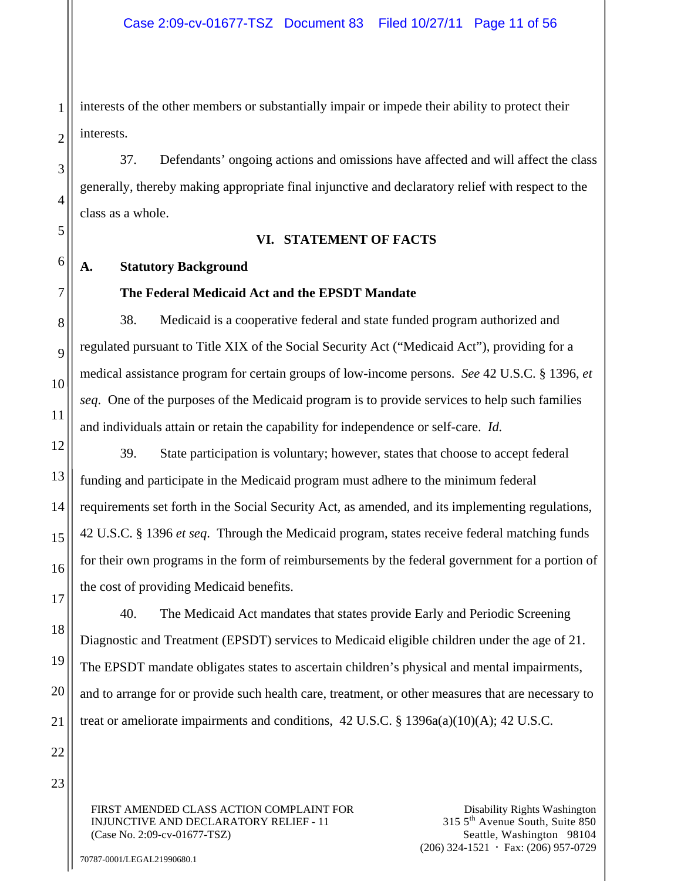interests of the other members or substantially impair or impede their ability to protect their interests.

37. Defendants' ongoing actions and omissions have affected and will affect the class generally, thereby making appropriate final injunctive and declaratory relief with respect to the class as a whole.

#### **VI. STATEMENT OF FACTS**

# **A. Statutory Background**

# **The Federal Medicaid Act and the EPSDT Mandate**

38. Medicaid is a cooperative federal and state funded program authorized and regulated pursuant to Title XIX of the Social Security Act ("Medicaid Act"), providing for a medical assistance program for certain groups of low-income persons. *See* 42 U.S.C. § 1396, *et seq*. One of the purposes of the Medicaid program is to provide services to help such families and individuals attain or retain the capability for independence or self-care. *Id.*

39. State participation is voluntary; however, states that choose to accept federal funding and participate in the Medicaid program must adhere to the minimum federal requirements set forth in the Social Security Act, as amended, and its implementing regulations, 42 U.S.C. § 1396 *et seq*. Through the Medicaid program, states receive federal matching funds for their own programs in the form of reimbursements by the federal government for a portion of the cost of providing Medicaid benefits.

40. The Medicaid Act mandates that states provide Early and Periodic Screening Diagnostic and Treatment (EPSDT) services to Medicaid eligible children under the age of 21. The EPSDT mandate obligates states to ascertain children's physical and mental impairments, and to arrange for or provide such health care, treatment, or other measures that are necessary to treat or ameliorate impairments and conditions,  $42 \text{ U.S.C.}$  §  $1396a(a)(10)(A)$ ;  $42 \text{ U.S.C.}$ 

FIRST AMENDED CLASS ACTION COMPLAINT FOR INJUNCTIVE AND DECLARATORY RELIEF - 11 (Case No. 2:09-cv-01677-TSZ)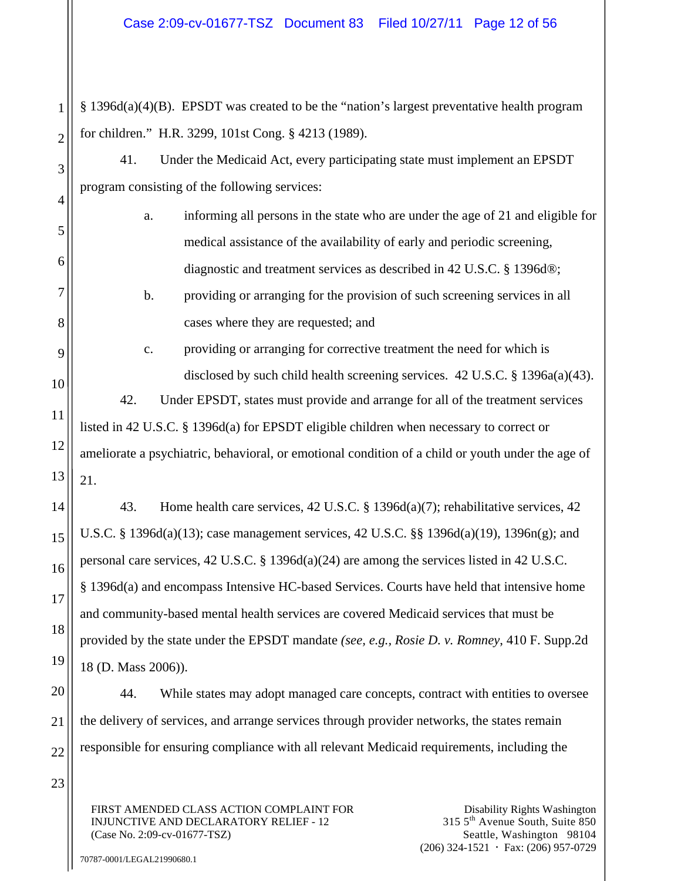1 2 § 1396d(a)(4)(B). EPSDT was created to be the "nation's largest preventative health program for children." H.R. 3299, 101st Cong. § 4213 (1989).

41. Under the Medicaid Act, every participating state must implement an EPSDT program consisting of the following services:

- a. informing all persons in the state who are under the age of 21 and eligible for medical assistance of the availability of early and periodic screening, diagnostic and treatment services as described in 42 U.S.C. § 1396d®;
	- b. providing or arranging for the provision of such screening services in all cases where they are requested; and
- c. providing or arranging for corrective treatment the need for which is disclosed by such child health screening services. 42 U.S.C. § 1396a(a)(43).

42. Under EPSDT, states must provide and arrange for all of the treatment services listed in 42 U.S.C. § 1396d(a) for EPSDT eligible children when necessary to correct or ameliorate a psychiatric, behavioral, or emotional condition of a child or youth under the age of 21.

43. Home health care services, 42 U.S.C. § 1396d(a)(7); rehabilitative services, 42 U.S.C. § 1396d(a)(13); case management services, 42 U.S.C. §§ 1396d(a)(19), 1396n(g); and personal care services, 42 U.S.C. § 1396d(a)(24) are among the services listed in 42 U.S.C. § 1396d(a) and encompass Intensive HC-based Services. Courts have held that intensive home and community-based mental health services are covered Medicaid services that must be provided by the state under the EPSDT mandate *(see, e.g., Rosie D. v. Romney*, 410 F. Supp.2d 18 (D. Mass 2006)).

44. While states may adopt managed care concepts, contract with entities to oversee the delivery of services, and arrange services through provider networks, the states remain responsible for ensuring compliance with all relevant Medicaid requirements, including the

FIRST AMENDED CLASS ACTION COMPLAINT FOR INJUNCTIVE AND DECLARATORY RELIEF - 12 (Case No. 2:09-cv-01677-TSZ)

3

4

5

6

7

8

9

10

11

12

13

14

15

16

17

18

19

20

21

22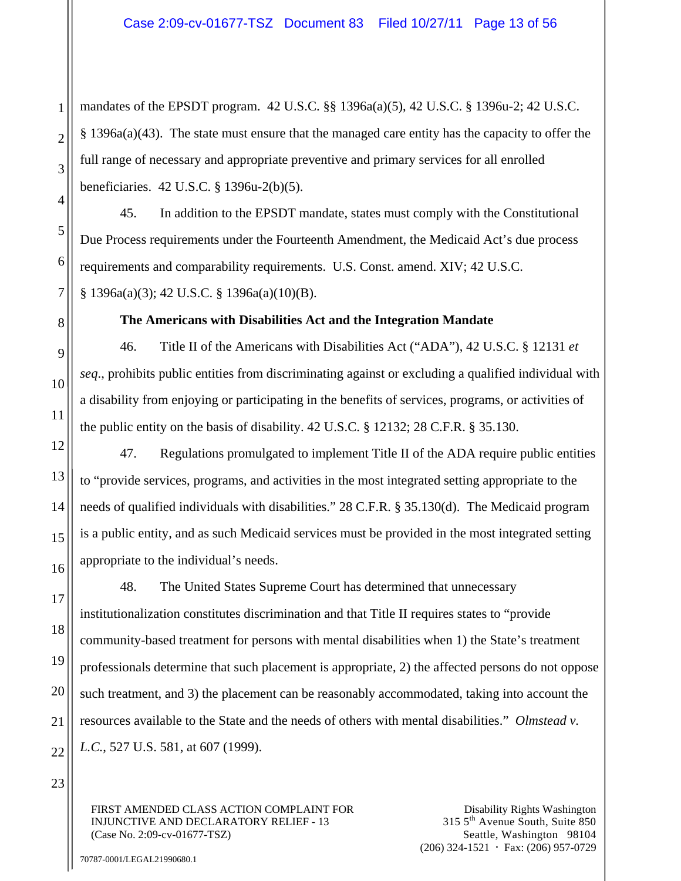mandates of the EPSDT program. 42 U.S.C. §§ 1396a(a)(5), 42 U.S.C. § 1396u-2; 42 U.S.C. § 1396a(a)(43). The state must ensure that the managed care entity has the capacity to offer the full range of necessary and appropriate preventive and primary services for all enrolled beneficiaries. 42 U.S.C. § 1396u-2(b)(5).

45. In addition to the EPSDT mandate, states must comply with the Constitutional Due Process requirements under the Fourteenth Amendment, the Medicaid Act's due process requirements and comparability requirements. U.S. Const. amend. XIV; 42 U.S.C. § 1396a(a)(3); 42 U.S.C. § 1396a(a)(10)(B).

**The Americans with Disabilities Act and the Integration Mandate** 

46. Title II of the Americans with Disabilities Act ("ADA"), 42 U.S.C. § 12131 *et seq*., prohibits public entities from discriminating against or excluding a qualified individual with a disability from enjoying or participating in the benefits of services, programs, or activities of the public entity on the basis of disability. 42 U.S.C. § 12132; 28 C.F.R. § 35.130.

47. Regulations promulgated to implement Title II of the ADA require public entities to "provide services, programs, and activities in the most integrated setting appropriate to the needs of qualified individuals with disabilities." 28 C.F.R. § 35.130(d). The Medicaid program is a public entity, and as such Medicaid services must be provided in the most integrated setting appropriate to the individual's needs.

48. The United States Supreme Court has determined that unnecessary institutionalization constitutes discrimination and that Title II requires states to "provide community-based treatment for persons with mental disabilities when 1) the State's treatment professionals determine that such placement is appropriate, 2) the affected persons do not oppose such treatment, and 3) the placement can be reasonably accommodated, taking into account the resources available to the State and the needs of others with mental disabilities." *Olmstead v. L.C.*, 527 U.S. 581, at 607 (1999).

23

1

2

3

4

5

6

7

8

9

10

11

12

13

14

15

16

17

18

19

20

21

22

FIRST AMENDED CLASS ACTION COMPLAINT FOR INJUNCTIVE AND DECLARATORY RELIEF - 13 (Case No. 2:09-cv-01677-TSZ)

Disability Rights Washington 315 5th Avenue South, Suite 850 Seattle, Washington 98104  $(206)$  324-1521  $\cdot$  Fax: (206) 957-0729

70787-0001/LEGAL21990680.1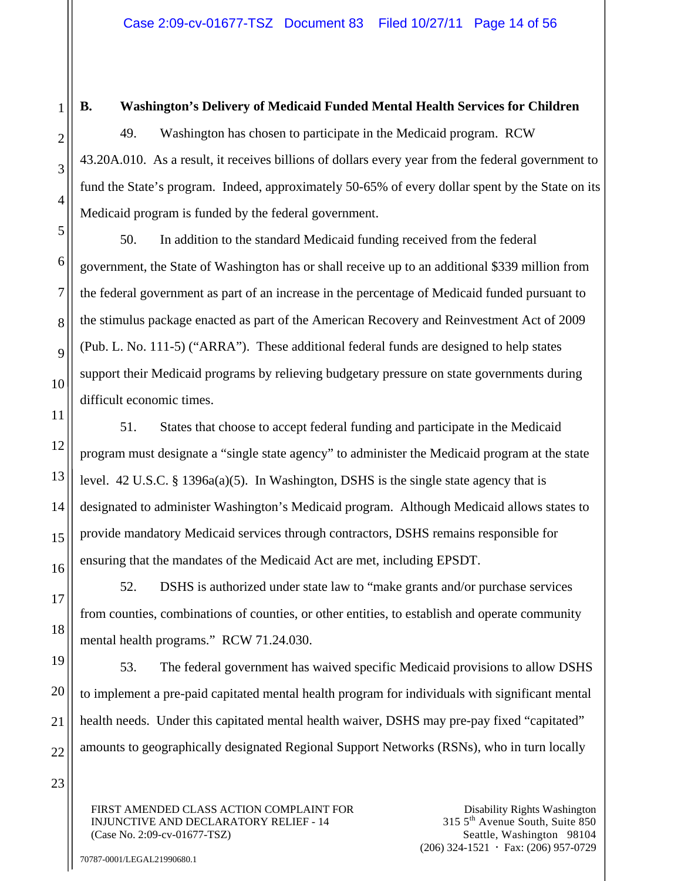# **B. Washington's Delivery of Medicaid Funded Mental Health Services for Children**

49. Washington has chosen to participate in the Medicaid program. RCW 43.20A.010. As a result, it receives billions of dollars every year from the federal government to fund the State's program. Indeed, approximately 50-65% of every dollar spent by the State on its Medicaid program is funded by the federal government.

50. In addition to the standard Medicaid funding received from the federal government, the State of Washington has or shall receive up to an additional \$339 million from the federal government as part of an increase in the percentage of Medicaid funded pursuant to the stimulus package enacted as part of the American Recovery and Reinvestment Act of 2009 (Pub. L. No. 111-5) ("ARRA"). These additional federal funds are designed to help states support their Medicaid programs by relieving budgetary pressure on state governments during difficult economic times.

51. States that choose to accept federal funding and participate in the Medicaid program must designate a "single state agency" to administer the Medicaid program at the state level. 42 U.S.C. § 1396a(a)(5). In Washington, DSHS is the single state agency that is designated to administer Washington's Medicaid program. Although Medicaid allows states to provide mandatory Medicaid services through contractors, DSHS remains responsible for ensuring that the mandates of the Medicaid Act are met, including EPSDT.

52. DSHS is authorized under state law to "make grants and/or purchase services from counties, combinations of counties, or other entities, to establish and operate community mental health programs." RCW 71.24.030.

53. The federal government has waived specific Medicaid provisions to allow DSHS to implement a pre-paid capitated mental health program for individuals with significant mental health needs. Under this capitated mental health waiver, DSHS may pre-pay fixed "capitated" amounts to geographically designated Regional Support Networks (RSNs), who in turn locally

FIRST AMENDED CLASS ACTION COMPLAINT FOR INJUNCTIVE AND DECLARATORY RELIEF - 14 (Case No. 2:09-cv-01677-TSZ)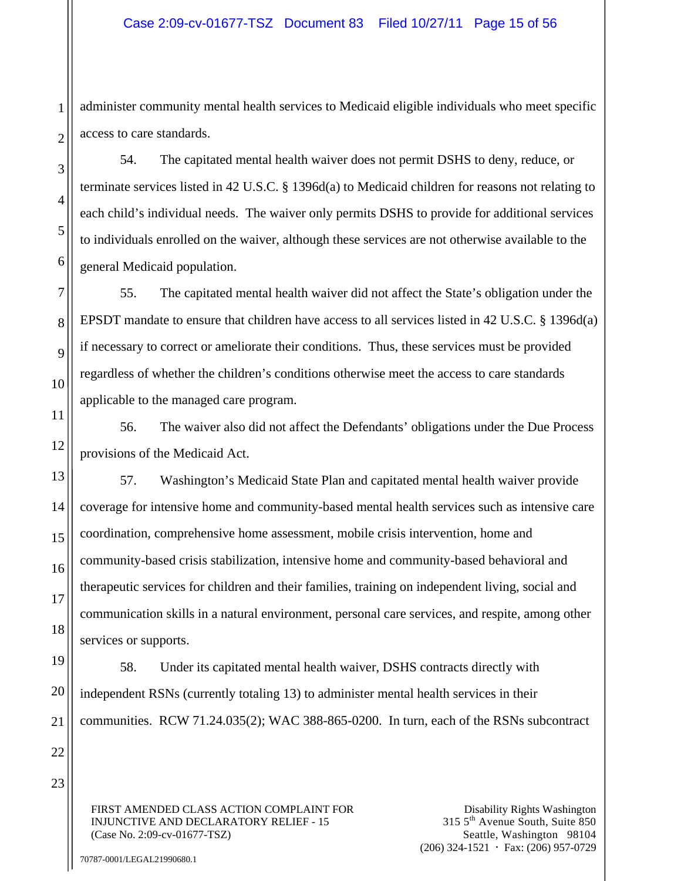administer community mental health services to Medicaid eligible individuals who meet specific access to care standards.

54. The capitated mental health waiver does not permit DSHS to deny, reduce, or terminate services listed in 42 U.S.C. § 1396d(a) to Medicaid children for reasons not relating to each child's individual needs. The waiver only permits DSHS to provide for additional services to individuals enrolled on the waiver, although these services are not otherwise available to the general Medicaid population.

55. The capitated mental health waiver did not affect the State's obligation under the EPSDT mandate to ensure that children have access to all services listed in 42 U.S.C. § 1396d(a) if necessary to correct or ameliorate their conditions. Thus, these services must be provided regardless of whether the children's conditions otherwise meet the access to care standards applicable to the managed care program.

56. The waiver also did not affect the Defendants' obligations under the Due Process provisions of the Medicaid Act.

57. Washington's Medicaid State Plan and capitated mental health waiver provide coverage for intensive home and community-based mental health services such as intensive care coordination, comprehensive home assessment, mobile crisis intervention, home and community-based crisis stabilization, intensive home and community-based behavioral and therapeutic services for children and their families, training on independent living, social and communication skills in a natural environment, personal care services, and respite, among other services or supports.

58. Under its capitated mental health waiver, DSHS contracts directly with independent RSNs (currently totaling 13) to administer mental health services in their communities. RCW 71.24.035(2); WAC 388-865-0200. In turn, each of the RSNs subcontract

FIRST AMENDED CLASS ACTION COMPLAINT FOR INJUNCTIVE AND DECLARATORY RELIEF - 15 (Case No. 2:09-cv-01677-TSZ)

Disability Rights Washington 315 5th Avenue South, Suite 850 Seattle, Washington 98104  $(206)$  324-1521  $\cdot$  Fax: (206) 957-0729

70787-0001/LEGAL21990680.1

1

2

3

4

5

6

7

8

9

10

11

12

13

14

15

16

17

18

19

20

21

22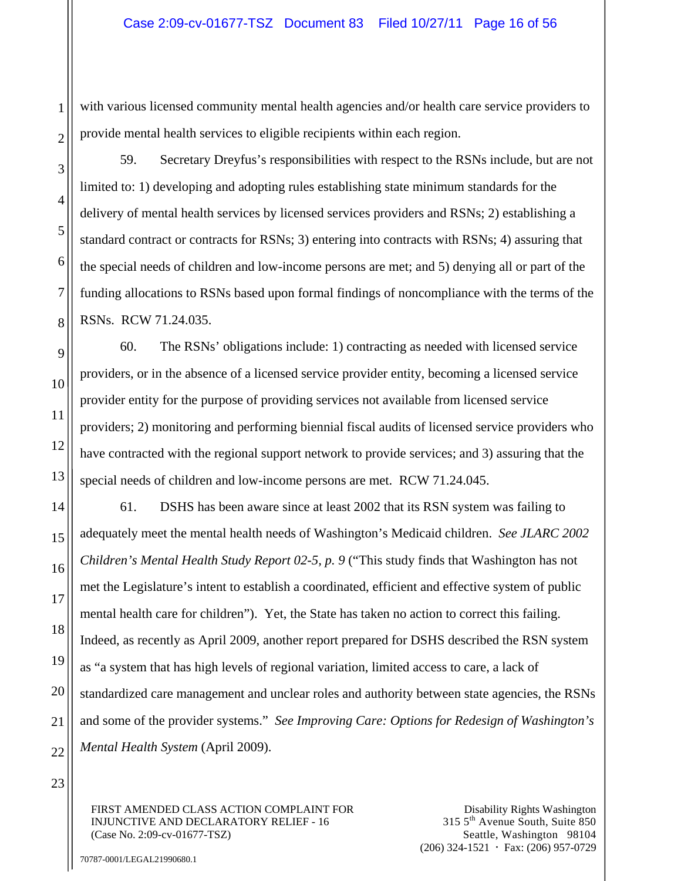with various licensed community mental health agencies and/or health care service providers to provide mental health services to eligible recipients within each region.

59. Secretary Dreyfus's responsibilities with respect to the RSNs include, but are not limited to: 1) developing and adopting rules establishing state minimum standards for the delivery of mental health services by licensed services providers and RSNs; 2) establishing a standard contract or contracts for RSNs; 3) entering into contracts with RSNs; 4) assuring that the special needs of children and low-income persons are met; and 5) denying all or part of the funding allocations to RSNs based upon formal findings of noncompliance with the terms of the RSNs. RCW 71.24.035.

60. The RSNs' obligations include: 1) contracting as needed with licensed service providers, or in the absence of a licensed service provider entity, becoming a licensed service provider entity for the purpose of providing services not available from licensed service providers; 2) monitoring and performing biennial fiscal audits of licensed service providers who have contracted with the regional support network to provide services; and 3) assuring that the special needs of children and low-income persons are met. RCW 71.24.045.

61. DSHS has been aware since at least 2002 that its RSN system was failing to adequately meet the mental health needs of Washington's Medicaid children. *See JLARC 2002 Children's Mental Health Study Report 02-5, p. 9* ("This study finds that Washington has not met the Legislature's intent to establish a coordinated, efficient and effective system of public mental health care for children"). Yet, the State has taken no action to correct this failing. Indeed, as recently as April 2009, another report prepared for DSHS described the RSN system as "a system that has high levels of regional variation, limited access to care, a lack of standardized care management and unclear roles and authority between state agencies, the RSNs and some of the provider systems." *See Improving Care: Options for Redesign of Washington's Mental Health System* (April 2009).

23

1

2

3

4

5

6

7

8

9

10

11

12

13

14

15

16

17

18

19

20

21

22

FIRST AMENDED CLASS ACTION COMPLAINT FOR INJUNCTIVE AND DECLARATORY RELIEF - 16 (Case No. 2:09-cv-01677-TSZ)

Disability Rights Washington 315 5th Avenue South, Suite 850 Seattle, Washington 98104  $(206)$  324-1521  $\cdot$  Fax: (206) 957-0729

70787-0001/LEGAL21990680.1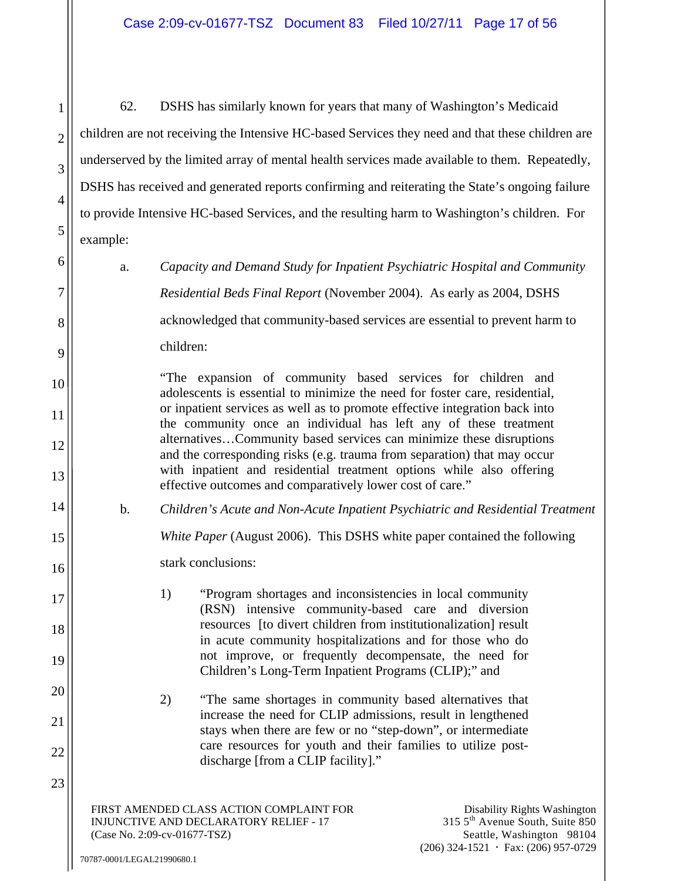62. DSHS has similarly known for years that many of Washington's Medicaid children are not receiving the Intensive HC-based Services they need and that these children are underserved by the limited array of mental health services made available to them. Repeatedly, DSHS has received and generated reports confirming and reiterating the State's ongoing failure to provide Intensive HC-based Services, and the resulting harm to Washington's children. For example:

a. *Capacity and Demand Study for Inpatient Psychiatric Hospital and Community Residential Beds Final Report* (November 2004). As early as 2004, DSHS acknowledged that community-based services are essential to prevent harm to children:

> "The expansion of community based services for children and adolescents is essential to minimize the need for foster care, residential, or inpatient services as well as to promote effective integration back into the community once an individual has left any of these treatment alternatives…Community based services can minimize these disruptions and the corresponding risks (e.g. trauma from separation) that may occur with inpatient and residential treatment options while also offering effective outcomes and comparatively lower cost of care."

b. *Children's Acute and Non-Acute Inpatient Psychiatric and Residential Treatment* 

*White Paper* (August 2006). This DSHS white paper contained the following

stark conclusions:

1) "Program shortages and inconsistencies in local community (RSN) intensive community-based care and diversion resources [to divert children from institutionalization] result in acute community hospitalizations and for those who do not improve, or frequently decompensate, the need for Children's Long-Term Inpatient Programs (CLIP);" and

2) "The same shortages in community based alternatives that increase the need for CLIP admissions, result in lengthened stays when there are few or no "step-down", or intermediate care resources for youth and their families to utilize postdischarge [from a CLIP facility]."

FIRST AMENDED CLASS ACTION COMPLAINT FOR INJUNCTIVE AND DECLARATORY RELIEF - 17 (Case No. 2:09-cv-01677-TSZ)

1

2

3

4

5

6

7

8

9

10

11

12

13

14

15

16

17

18

19

20

21

22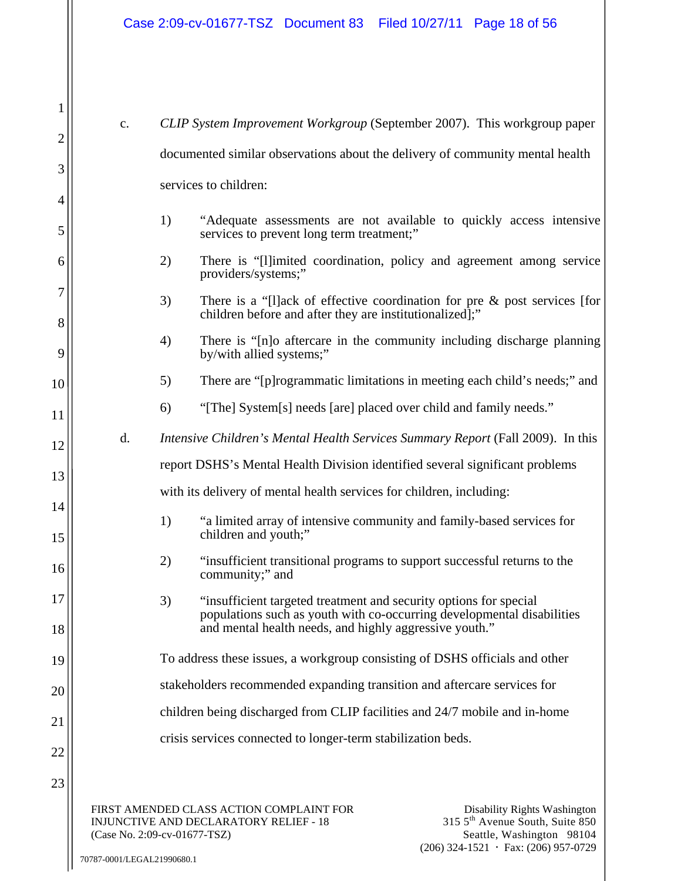| 1        |                                                                               |                                                                                                                                                                                                                                |
|----------|-------------------------------------------------------------------------------|--------------------------------------------------------------------------------------------------------------------------------------------------------------------------------------------------------------------------------|
|          | $\mathbf{c}$ .                                                                | CLIP System Improvement Workgroup (September 2007). This workgroup paper                                                                                                                                                       |
| 2        | documented similar observations about the delivery of community mental health |                                                                                                                                                                                                                                |
| 3        | services to children:                                                         |                                                                                                                                                                                                                                |
| 4        |                                                                               |                                                                                                                                                                                                                                |
| 5        |                                                                               | "Adequate assessments are not available to quickly access intensive<br>1)<br>services to prevent long term treatment;"                                                                                                         |
| 6        |                                                                               | 2)<br>There is "[I] imited coordination, policy and agreement among service<br>providers/systems;"                                                                                                                             |
| 7<br>8   |                                                                               | 3)<br>There is a "[I] ack of effective coordination for pre $\&$ post services [for<br>children before and after they are institutionalized];"                                                                                 |
| 9        |                                                                               | 4)<br>There is "[n]o aftercare in the community including discharge planning<br>by/with allied systems;"                                                                                                                       |
| 10       |                                                                               | There are "[p] rogrammatic limitations in meeting each child's needs;" and<br>5)                                                                                                                                               |
| 11       |                                                                               | "[The] System[s] needs [are] placed over child and family needs."<br>6)                                                                                                                                                        |
| 12       | d.                                                                            | Intensive Children's Mental Health Services Summary Report (Fall 2009). In this                                                                                                                                                |
| 13       |                                                                               | report DSHS's Mental Health Division identified several significant problems                                                                                                                                                   |
|          |                                                                               | with its delivery of mental health services for children, including:                                                                                                                                                           |
| 14<br>15 |                                                                               | "a limited array of intensive community and family-based services for<br>1)<br>children and youth;"                                                                                                                            |
| 16       |                                                                               | "insufficient transitional programs to support successful returns to the<br>2)<br>community;" and                                                                                                                              |
| 17       |                                                                               | 'insufficient targeted treatment and security options for special<br>3)<br>populations such as youth with co-occurring developmental disabilities                                                                              |
| 18       |                                                                               | and mental health needs, and highly aggressive youth."                                                                                                                                                                         |
| 19       |                                                                               | To address these issues, a workgroup consisting of DSHS officials and other                                                                                                                                                    |
| 20       | stakeholders recommended expanding transition and aftercare services for      |                                                                                                                                                                                                                                |
| 21       |                                                                               | children being discharged from CLIP facilities and 24/7 mobile and in-home                                                                                                                                                     |
| 22       |                                                                               | crisis services connected to longer-term stabilization beds.                                                                                                                                                                   |
| 23       |                                                                               |                                                                                                                                                                                                                                |
|          |                                                                               | FIRST AMENDED CLASS ACTION COMPLAINT FOR<br>Disability Rights Washington<br>315 5 <sup>th</sup> Avenue South, Suite 850<br>INJUNCTIVE AND DECLARATORY RELIEF - 18<br>Seattle, Washington 98104<br>(Case No. 2:09-cv-01677-TSZ) |

(206) 324-1521  $\cdot$  Fax: (206) 957-0729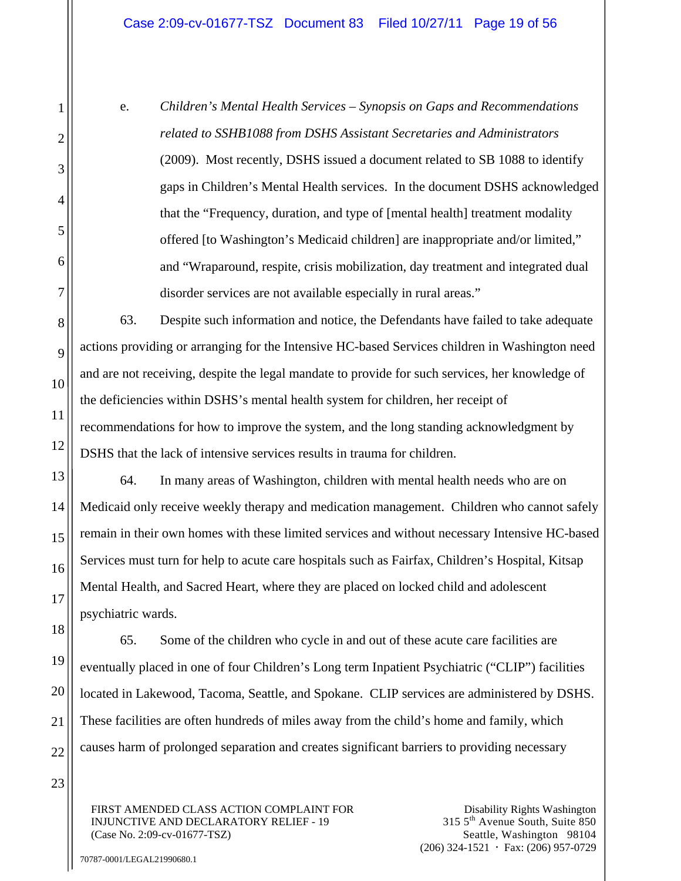## Case 2:09-cv-01677-TSZ Document 83 Filed 10/27/11 Page 19 of 56

e. *Children's Mental Health Services – Synopsis on Gaps and Recommendations related to SSHB1088 from DSHS Assistant Secretaries and Administrators* (2009). Most recently, DSHS issued a document related to SB 1088 to identify gaps in Children's Mental Health services. In the document DSHS acknowledged that the "Frequency, duration, and type of [mental health] treatment modality offered [to Washington's Medicaid children] are inappropriate and/or limited," and "Wraparound, respite, crisis mobilization, day treatment and integrated dual disorder services are not available especially in rural areas."

63. Despite such information and notice, the Defendants have failed to take adequate actions providing or arranging for the Intensive HC-based Services children in Washington need and are not receiving, despite the legal mandate to provide for such services, her knowledge of the deficiencies within DSHS's mental health system for children, her receipt of recommendations for how to improve the system, and the long standing acknowledgment by DSHS that the lack of intensive services results in trauma for children.

64. In many areas of Washington, children with mental health needs who are on Medicaid only receive weekly therapy and medication management. Children who cannot safely remain in their own homes with these limited services and without necessary Intensive HC-based Services must turn for help to acute care hospitals such as Fairfax, Children's Hospital, Kitsap Mental Health, and Sacred Heart, where they are placed on locked child and adolescent psychiatric wards.

65. Some of the children who cycle in and out of these acute care facilities are eventually placed in one of four Children's Long term Inpatient Psychiatric ("CLIP") facilities located in Lakewood, Tacoma, Seattle, and Spokane. CLIP services are administered by DSHS. These facilities are often hundreds of miles away from the child's home and family, which causes harm of prolonged separation and creates significant barriers to providing necessary

FIRST AMENDED CLASS ACTION COMPLAINT FOR INJUNCTIVE AND DECLARATORY RELIEF - 19 (Case No. 2:09-cv-01677-TSZ)

Disability Rights Washington 315 5th Avenue South, Suite 850 Seattle, Washington 98104  $(206)$  324-1521  $\cdot$  Fax: (206) 957-0729

70787-0001/LEGAL21990680.1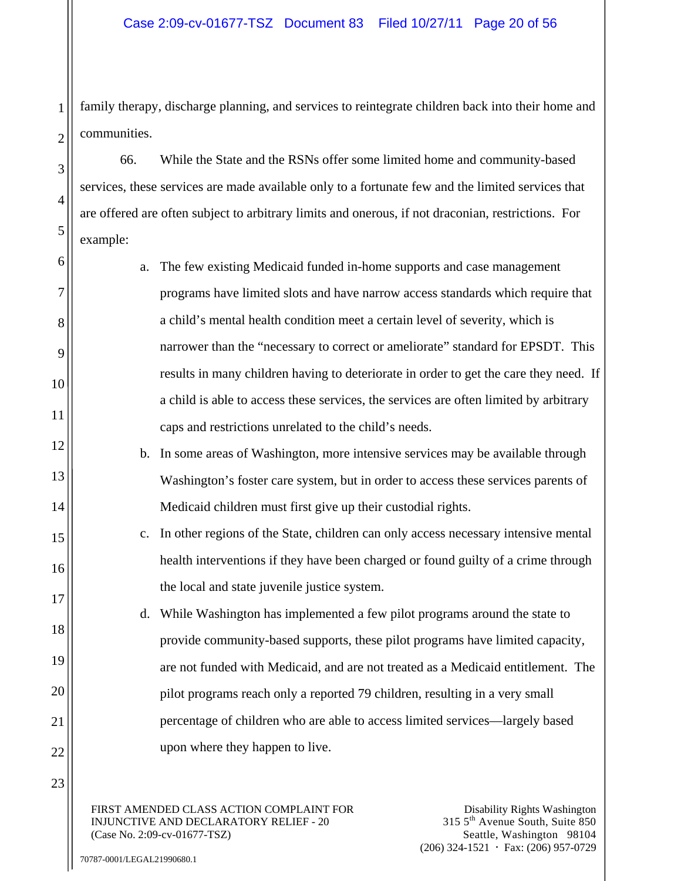family therapy, discharge planning, and services to reintegrate children back into their home and communities.

66. While the State and the RSNs offer some limited home and community-based services, these services are made available only to a fortunate few and the limited services that are offered are often subject to arbitrary limits and onerous, if not draconian, restrictions. For example:

- a. The few existing Medicaid funded in-home supports and case management programs have limited slots and have narrow access standards which require that a child's mental health condition meet a certain level of severity, which is narrower than the "necessary to correct or ameliorate" standard for EPSDT. This results in many children having to deteriorate in order to get the care they need. If a child is able to access these services, the services are often limited by arbitrary caps and restrictions unrelated to the child's needs.
	- b. In some areas of Washington, more intensive services may be available through Washington's foster care system, but in order to access these services parents of Medicaid children must first give up their custodial rights.
- c. In other regions of the State, children can only access necessary intensive mental health interventions if they have been charged or found guilty of a crime through the local and state juvenile justice system.
	- d. While Washington has implemented a few pilot programs around the state to provide community-based supports, these pilot programs have limited capacity, are not funded with Medicaid, and are not treated as a Medicaid entitlement. The pilot programs reach only a reported 79 children, resulting in a very small percentage of children who are able to access limited services—largely based upon where they happen to live.

FIRST AMENDED CLASS ACTION COMPLAINT FOR INJUNCTIVE AND DECLARATORY RELIEF - 20 (Case No. 2:09-cv-01677-TSZ)

4

5

6

7

8

9

10

11

12

13

14

15

16

17

18

19

20

21

22

23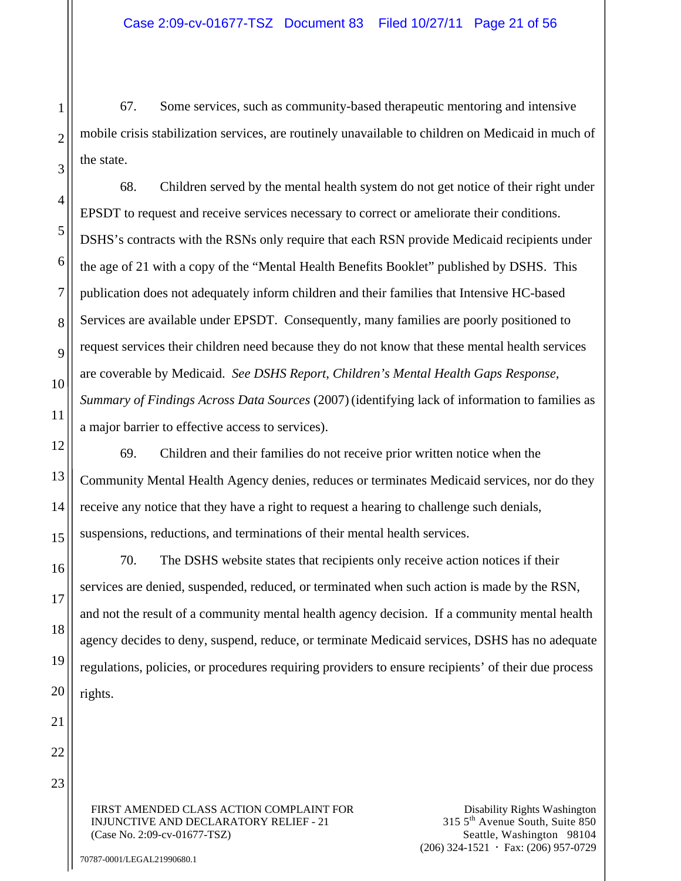67. Some services, such as community-based therapeutic mentoring and intensive mobile crisis stabilization services, are routinely unavailable to children on Medicaid in much of the state.

68. Children served by the mental health system do not get notice of their right under EPSDT to request and receive services necessary to correct or ameliorate their conditions. DSHS's contracts with the RSNs only require that each RSN provide Medicaid recipients under the age of 21 with a copy of the "Mental Health Benefits Booklet" published by DSHS. This publication does not adequately inform children and their families that Intensive HC-based Services are available under EPSDT. Consequently, many families are poorly positioned to request services their children need because they do not know that these mental health services are coverable by Medicaid. *See DSHS Report*, *Children's Mental Health Gaps Response, Summary of Findings Across Data Sources* (2007)(identifying lack of information to families as a major barrier to effective access to services).

69. Children and their families do not receive prior written notice when the Community Mental Health Agency denies, reduces or terminates Medicaid services, nor do they receive any notice that they have a right to request a hearing to challenge such denials, suspensions, reductions, and terminations of their mental health services.

70. The DSHS website states that recipients only receive action notices if their services are denied, suspended, reduced, or terminated when such action is made by the RSN, and not the result of a community mental health agency decision. If a community mental health agency decides to deny, suspend, reduce, or terminate Medicaid services, DSHS has no adequate regulations, policies, or procedures requiring providers to ensure recipients' of their due process rights.

FIRST AMENDED CLASS ACTION COMPLAINT FOR INJUNCTIVE AND DECLARATORY RELIEF - 21 (Case No. 2:09-cv-01677-TSZ)

Disability Rights Washington 315 5th Avenue South, Suite 850 Seattle, Washington 98104  $(206)$  324-1521  $\cdot$  Fax: (206) 957-0729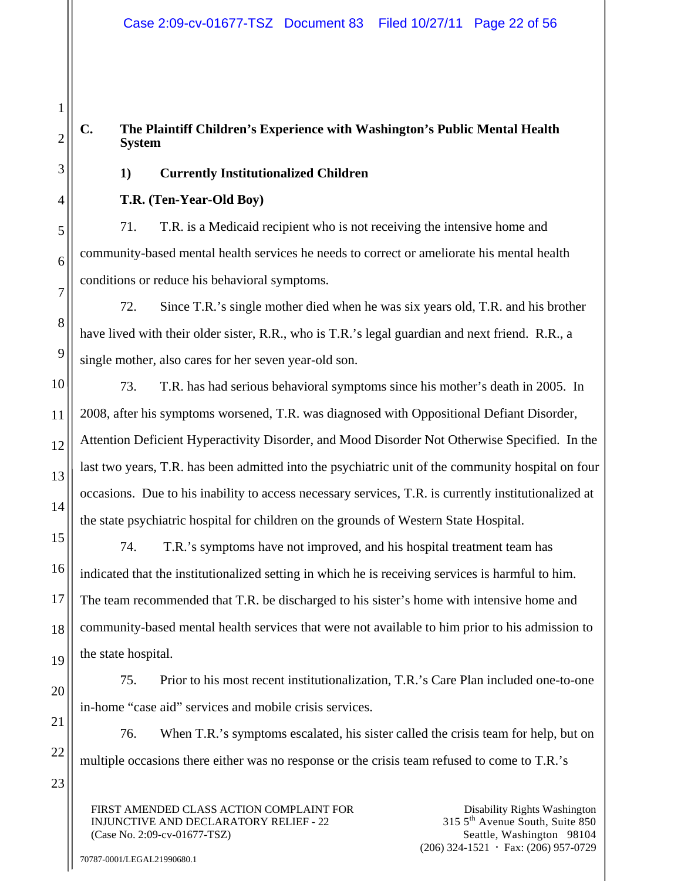# **C. The Plaintiff Children's Experience with Washington's Public Mental Health System**

# **1) Currently Institutionalized Children**

# **T.R. (Ten-Year-Old Boy)**

1

2

3

4

5

6

7

8

9

10

11

12

13

14

15

16

17

18

19

20

21

22

23

71. T.R. is a Medicaid recipient who is not receiving the intensive home and community-based mental health services he needs to correct or ameliorate his mental health conditions or reduce his behavioral symptoms.

72. Since T.R.'s single mother died when he was six years old, T.R. and his brother have lived with their older sister, R.R., who is T.R.'s legal guardian and next friend. R.R., a single mother, also cares for her seven year-old son.

73. T.R. has had serious behavioral symptoms since his mother's death in 2005. In 2008, after his symptoms worsened, T.R. was diagnosed with Oppositional Defiant Disorder, Attention Deficient Hyperactivity Disorder, and Mood Disorder Not Otherwise Specified. In the last two years, T.R. has been admitted into the psychiatric unit of the community hospital on four occasions. Due to his inability to access necessary services, T.R. is currently institutionalized at the state psychiatric hospital for children on the grounds of Western State Hospital.

74. T.R.'s symptoms have not improved, and his hospital treatment team has indicated that the institutionalized setting in which he is receiving services is harmful to him. The team recommended that T.R. be discharged to his sister's home with intensive home and community-based mental health services that were not available to him prior to his admission to the state hospital.

75. Prior to his most recent institutionalization, T.R.'s Care Plan included one-to-one in-home "case aid" services and mobile crisis services.

76. When T.R.'s symptoms escalated, his sister called the crisis team for help, but on multiple occasions there either was no response or the crisis team refused to come to T.R.'s

FIRST AMENDED CLASS ACTION COMPLAINT FOR INJUNCTIVE AND DECLARATORY RELIEF - 22 (Case No. 2:09-cv-01677-TSZ)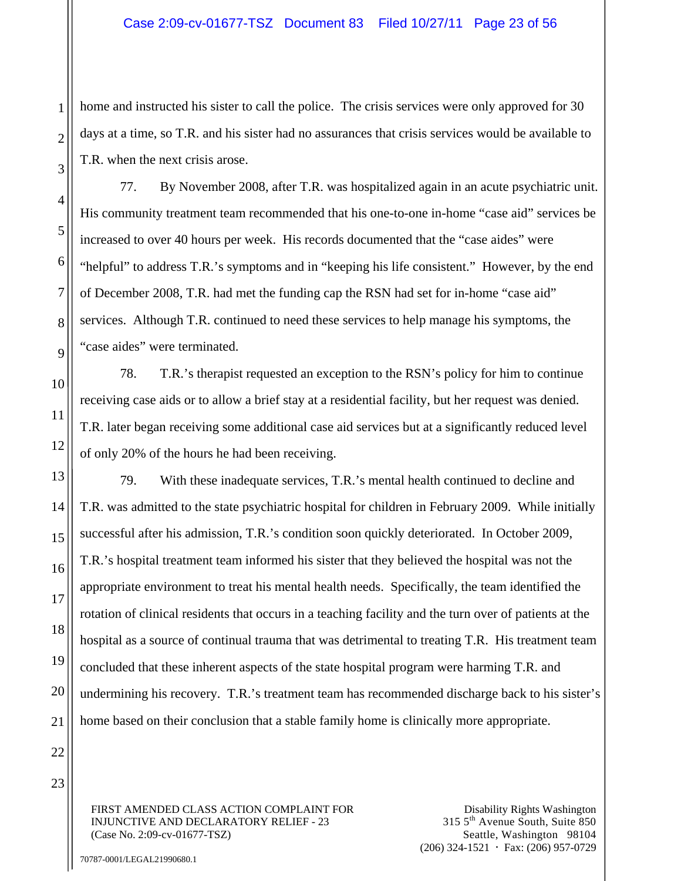home and instructed his sister to call the police. The crisis services were only approved for 30 days at a time, so T.R. and his sister had no assurances that crisis services would be available to T.R. when the next crisis arose.

77. By November 2008, after T.R. was hospitalized again in an acute psychiatric unit. His community treatment team recommended that his one-to-one in-home "case aid" services be increased to over 40 hours per week. His records documented that the "case aides" were "helpful" to address T.R.'s symptoms and in "keeping his life consistent." However, by the end of December 2008, T.R. had met the funding cap the RSN had set for in-home "case aid" services. Although T.R. continued to need these services to help manage his symptoms, the "case aides" were terminated.

78. T.R.'s therapist requested an exception to the RSN's policy for him to continue receiving case aids or to allow a brief stay at a residential facility, but her request was denied. T.R. later began receiving some additional case aid services but at a significantly reduced level of only 20% of the hours he had been receiving.

79. With these inadequate services, T.R.'s mental health continued to decline and T.R. was admitted to the state psychiatric hospital for children in February 2009. While initially successful after his admission, T.R.'s condition soon quickly deteriorated. In October 2009, T.R.'s hospital treatment team informed his sister that they believed the hospital was not the appropriate environment to treat his mental health needs. Specifically, the team identified the rotation of clinical residents that occurs in a teaching facility and the turn over of patients at the hospital as a source of continual trauma that was detrimental to treating T.R. His treatment team concluded that these inherent aspects of the state hospital program were harming T.R. and undermining his recovery. T.R.'s treatment team has recommended discharge back to his sister's home based on their conclusion that a stable family home is clinically more appropriate.

FIRST AMENDED CLASS ACTION COMPLAINT FOR INJUNCTIVE AND DECLARATORY RELIEF - 23 (Case No. 2:09-cv-01677-TSZ)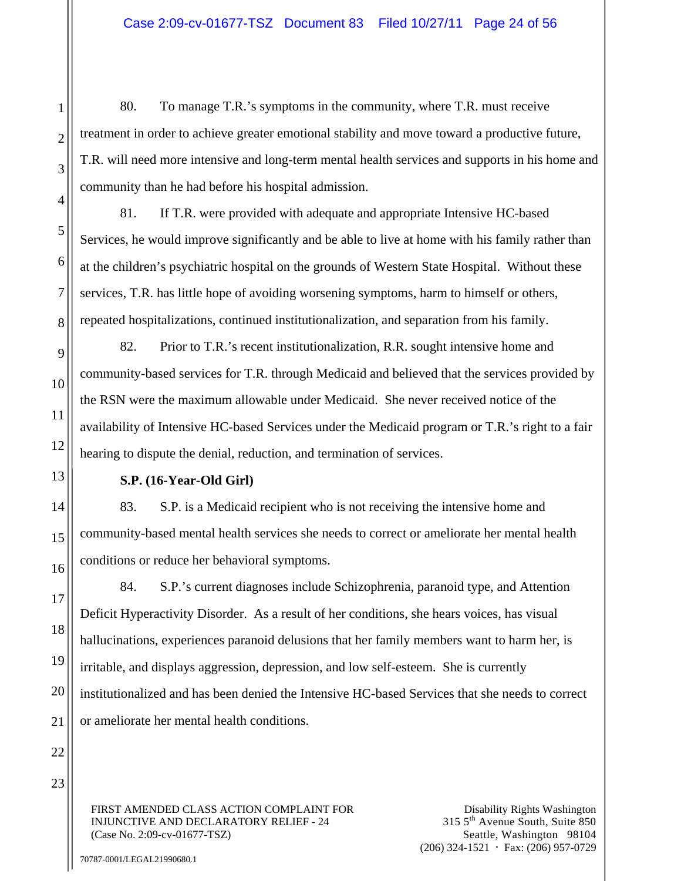80. To manage T.R.'s symptoms in the community, where T.R. must receive treatment in order to achieve greater emotional stability and move toward a productive future, T.R. will need more intensive and long-term mental health services and supports in his home and community than he had before his hospital admission.

81. If T.R. were provided with adequate and appropriate Intensive HC-based Services, he would improve significantly and be able to live at home with his family rather than at the children's psychiatric hospital on the grounds of Western State Hospital. Without these services, T.R. has little hope of avoiding worsening symptoms, harm to himself or others, repeated hospitalizations, continued institutionalization, and separation from his family.

82. Prior to T.R.'s recent institutionalization, R.R. sought intensive home and community-based services for T.R. through Medicaid and believed that the services provided by the RSN were the maximum allowable under Medicaid. She never received notice of the availability of Intensive HC-based Services under the Medicaid program or T.R.'s right to a fair hearing to dispute the denial, reduction, and termination of services.

## **S.P. (16-Year-Old Girl)**

83. S.P. is a Medicaid recipient who is not receiving the intensive home and community-based mental health services she needs to correct or ameliorate her mental health conditions or reduce her behavioral symptoms.

84. S.P.'s current diagnoses include Schizophrenia, paranoid type, and Attention Deficit Hyperactivity Disorder. As a result of her conditions, she hears voices, has visual hallucinations, experiences paranoid delusions that her family members want to harm her, is irritable, and displays aggression, depression, and low self-esteem. She is currently institutionalized and has been denied the Intensive HC-based Services that she needs to correct or ameliorate her mental health conditions.

FIRST AMENDED CLASS ACTION COMPLAINT FOR INJUNCTIVE AND DECLARATORY RELIEF - 24 (Case No. 2:09-cv-01677-TSZ)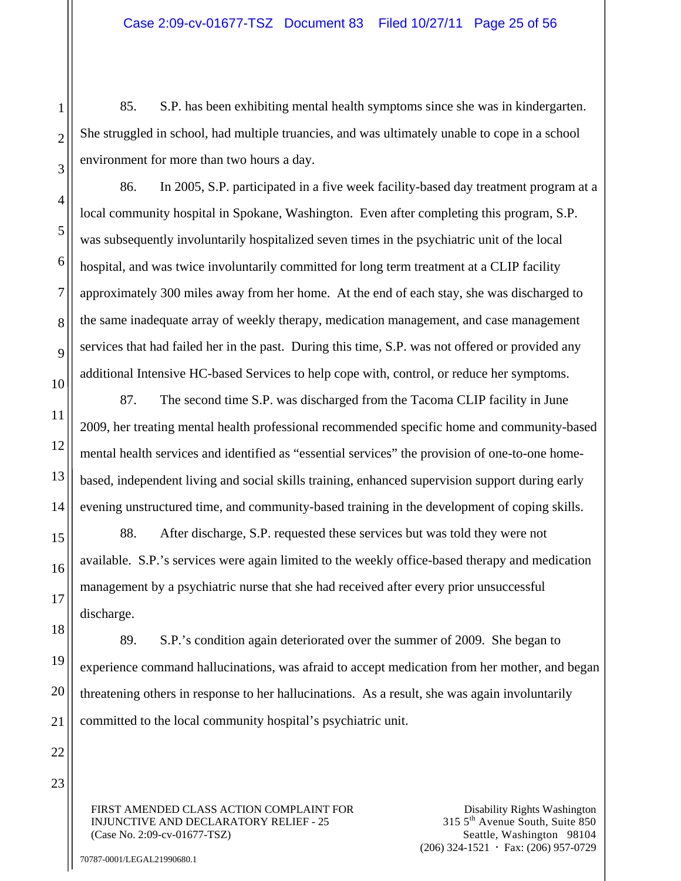85. S.P. has been exhibiting mental health symptoms since she was in kindergarten. She struggled in school, had multiple truancies, and was ultimately unable to cope in a school environment for more than two hours a day.

86. In 2005, S.P. participated in a five week facility-based day treatment program at a local community hospital in Spokane, Washington. Even after completing this program, S.P. was subsequently involuntarily hospitalized seven times in the psychiatric unit of the local hospital, and was twice involuntarily committed for long term treatment at a CLIP facility approximately 300 miles away from her home. At the end of each stay, she was discharged to the same inadequate array of weekly therapy, medication management, and case management services that had failed her in the past. During this time, S.P. was not offered or provided any additional Intensive HC-based Services to help cope with, control, or reduce her symptoms.

87. The second time S.P. was discharged from the Tacoma CLIP facility in June 2009, her treating mental health professional recommended specific home and community-based mental health services and identified as "essential services" the provision of one-to-one homebased, independent living and social skills training, enhanced supervision support during early evening unstructured time, and community-based training in the development of coping skills.

88. After discharge, S.P. requested these services but was told they were not available. S.P.'s services were again limited to the weekly office-based therapy and medication management by a psychiatric nurse that she had received after every prior unsuccessful discharge.

89. S.P.'s condition again deteriorated over the summer of 2009. She began to experience command hallucinations, was afraid to accept medication from her mother, and began threatening others in response to her hallucinations. As a result, she was again involuntarily committed to the local community hospital's psychiatric unit.

FIRST AMENDED CLASS ACTION COMPLAINT FOR INJUNCTIVE AND DECLARATORY RELIEF - 25 (Case No. 2:09-cv-01677-TSZ)

Disability Rights Washington 315 5th Avenue South, Suite 850 Seattle, Washington 98104  $(206)$  324-1521  $\cdot$  Fax: (206) 957-0729

1

2

3

4

5

6

7

8

9

10

11

12

13

14

15

16

17

18

19

20

21

22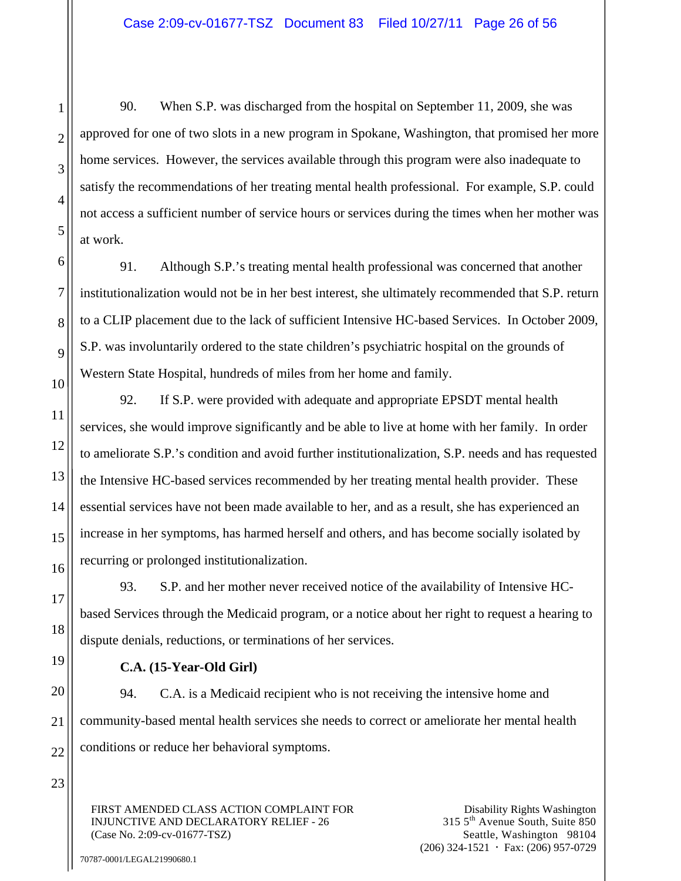90. When S.P. was discharged from the hospital on September 11, 2009, she was approved for one of two slots in a new program in Spokane, Washington, that promised her more home services. However, the services available through this program were also inadequate to satisfy the recommendations of her treating mental health professional. For example, S.P. could not access a sufficient number of service hours or services during the times when her mother was at work.

91. Although S.P.'s treating mental health professional was concerned that another institutionalization would not be in her best interest, she ultimately recommended that S.P. return to a CLIP placement due to the lack of sufficient Intensive HC-based Services. In October 2009, S.P. was involuntarily ordered to the state children's psychiatric hospital on the grounds of Western State Hospital, hundreds of miles from her home and family.

92. If S.P. were provided with adequate and appropriate EPSDT mental health services, she would improve significantly and be able to live at home with her family. In order to ameliorate S.P.'s condition and avoid further institutionalization, S.P. needs and has requested the Intensive HC-based services recommended by her treating mental health provider. These essential services have not been made available to her, and as a result, she has experienced an increase in her symptoms, has harmed herself and others, and has become socially isolated by recurring or prolonged institutionalization.

93. S.P. and her mother never received notice of the availability of Intensive HCbased Services through the Medicaid program, or a notice about her right to request a hearing to dispute denials, reductions, or terminations of her services.

**C.A. (15-Year-Old Girl)** 

94. C.A. is a Medicaid recipient who is not receiving the intensive home and community-based mental health services she needs to correct or ameliorate her mental health conditions or reduce her behavioral symptoms.

FIRST AMENDED CLASS ACTION COMPLAINT FOR INJUNCTIVE AND DECLARATORY RELIEF - 26 (Case No. 2:09-cv-01677-TSZ)

Disability Rights Washington 315 5th Avenue South, Suite 850 Seattle, Washington 98104  $(206)$  324-1521  $\cdot$  Fax: (206) 957-0729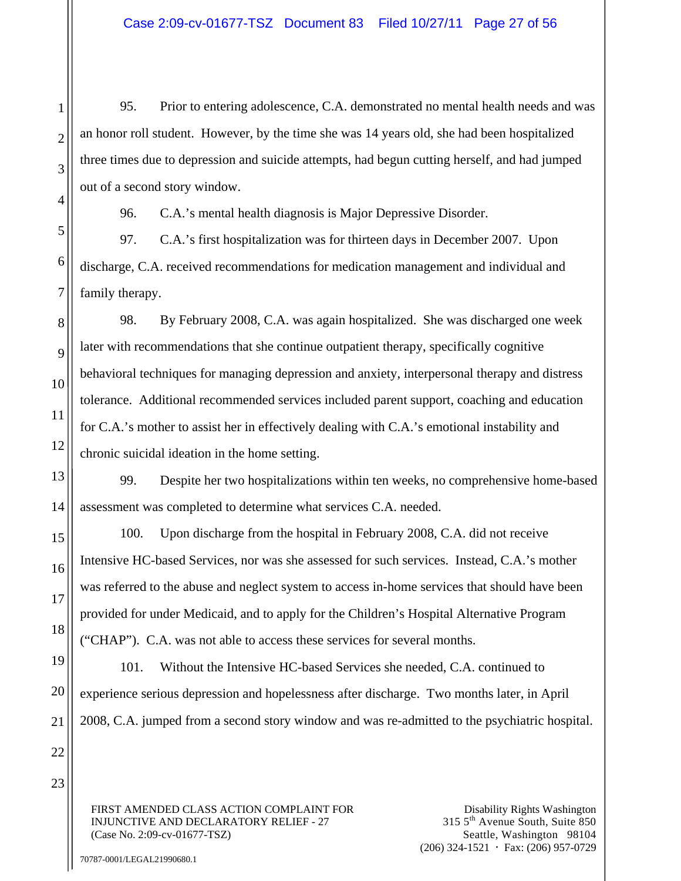95. Prior to entering adolescence, C.A. demonstrated no mental health needs and was an honor roll student. However, by the time she was 14 years old, she had been hospitalized three times due to depression and suicide attempts, had begun cutting herself, and had jumped out of a second story window.

96. C.A.'s mental health diagnosis is Major Depressive Disorder.

97. C.A.'s first hospitalization was for thirteen days in December 2007. Upon discharge, C.A. received recommendations for medication management and individual and family therapy.

98. By February 2008, C.A. was again hospitalized. She was discharged one week later with recommendations that she continue outpatient therapy, specifically cognitive behavioral techniques for managing depression and anxiety, interpersonal therapy and distress tolerance. Additional recommended services included parent support, coaching and education for C.A.'s mother to assist her in effectively dealing with C.A.'s emotional instability and chronic suicidal ideation in the home setting.

99. Despite her two hospitalizations within ten weeks, no comprehensive home-based assessment was completed to determine what services C.A. needed.

100. Upon discharge from the hospital in February 2008, C.A. did not receive Intensive HC-based Services, nor was she assessed for such services. Instead, C.A.'s mother was referred to the abuse and neglect system to access in-home services that should have been provided for under Medicaid, and to apply for the Children's Hospital Alternative Program ("CHAP"). C.A. was not able to access these services for several months.

101. Without the Intensive HC-based Services she needed, C.A. continued to experience serious depression and hopelessness after discharge. Two months later, in April 2008, C.A. jumped from a second story window and was re-admitted to the psychiatric hospital.

FIRST AMENDED CLASS ACTION COMPLAINT FOR INJUNCTIVE AND DECLARATORY RELIEF - 27 (Case No. 2:09-cv-01677-TSZ)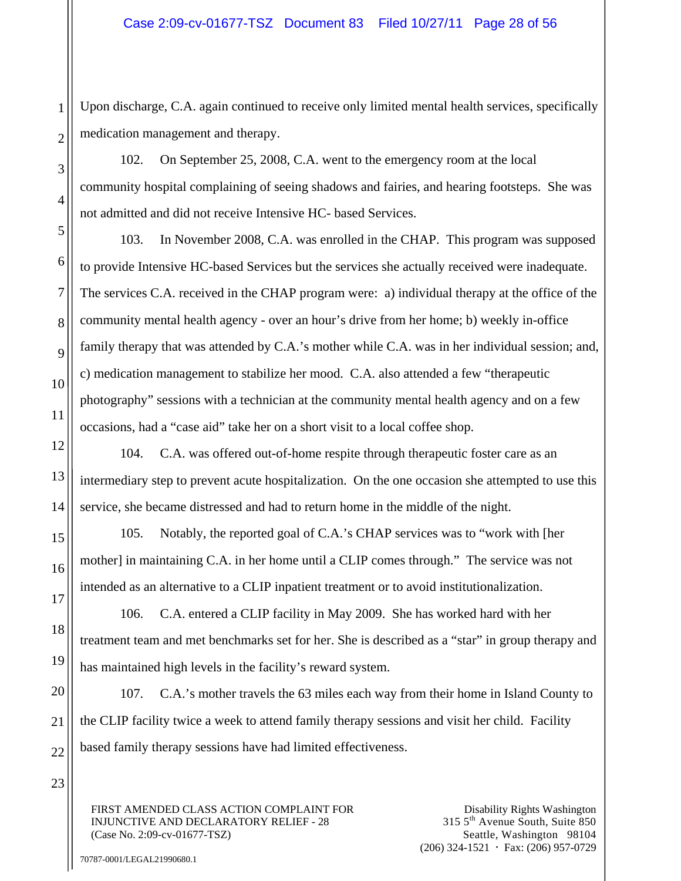Upon discharge, C.A. again continued to receive only limited mental health services, specifically medication management and therapy.

102. On September 25, 2008, C.A. went to the emergency room at the local community hospital complaining of seeing shadows and fairies, and hearing footsteps. She was not admitted and did not receive Intensive HC- based Services.

103. In November 2008, C.A. was enrolled in the CHAP. This program was supposed to provide Intensive HC-based Services but the services she actually received were inadequate. The services C.A. received in the CHAP program were: a) individual therapy at the office of the community mental health agency - over an hour's drive from her home; b) weekly in-office family therapy that was attended by C.A.'s mother while C.A. was in her individual session; and, c) medication management to stabilize her mood. C.A. also attended a few "therapeutic photography" sessions with a technician at the community mental health agency and on a few occasions, had a "case aid" take her on a short visit to a local coffee shop.

104. C.A. was offered out-of-home respite through therapeutic foster care as an intermediary step to prevent acute hospitalization. On the one occasion she attempted to use this service, she became distressed and had to return home in the middle of the night.

105. Notably, the reported goal of C.A.'s CHAP services was to "work with [her mother] in maintaining C.A. in her home until a CLIP comes through." The service was not intended as an alternative to a CLIP inpatient treatment or to avoid institutionalization.

106. C.A. entered a CLIP facility in May 2009. She has worked hard with her treatment team and met benchmarks set for her. She is described as a "star" in group therapy and has maintained high levels in the facility's reward system.

107. C.A.'s mother travels the 63 miles each way from their home in Island County to the CLIP facility twice a week to attend family therapy sessions and visit her child. Facility based family therapy sessions have had limited effectiveness.

FIRST AMENDED CLASS ACTION COMPLAINT FOR INJUNCTIVE AND DECLARATORY RELIEF - 28 (Case No. 2:09-cv-01677-TSZ)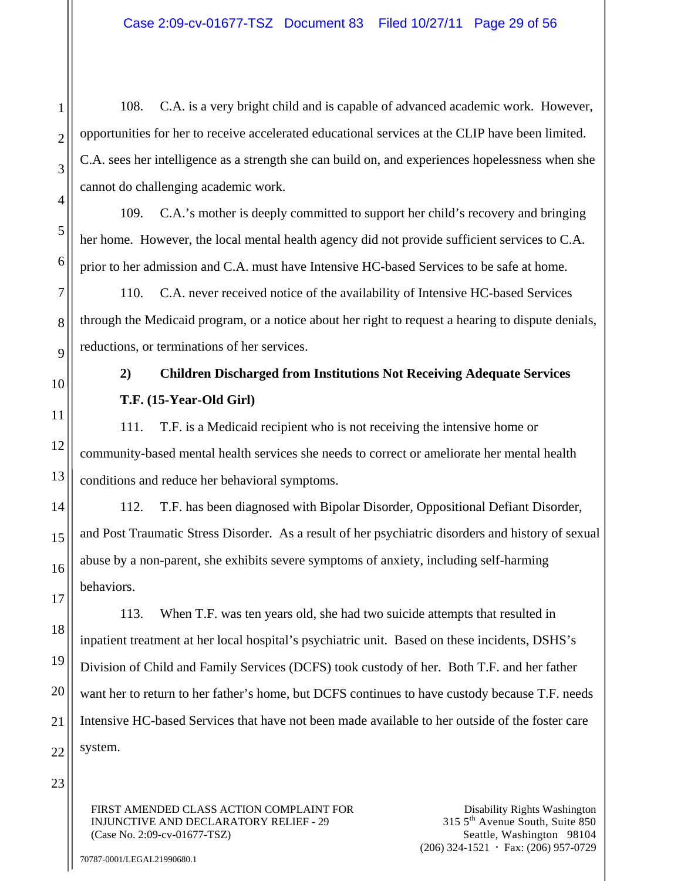108. C.A. is a very bright child and is capable of advanced academic work. However, opportunities for her to receive accelerated educational services at the CLIP have been limited. C.A. sees her intelligence as a strength she can build on, and experiences hopelessness when she cannot do challenging academic work.

109. C.A.'s mother is deeply committed to support her child's recovery and bringing her home. However, the local mental health agency did not provide sufficient services to C.A. prior to her admission and C.A. must have Intensive HC-based Services to be safe at home.

110. C.A. never received notice of the availability of Intensive HC-based Services through the Medicaid program, or a notice about her right to request a hearing to dispute denials, reductions, or terminations of her services.

# **2) Children Discharged from Institutions Not Receiving Adequate Services T.F. (15-Year-Old Girl)**

111. T.F. is a Medicaid recipient who is not receiving the intensive home or community-based mental health services she needs to correct or ameliorate her mental health conditions and reduce her behavioral symptoms.

112. T.F. has been diagnosed with Bipolar Disorder, Oppositional Defiant Disorder, and Post Traumatic Stress Disorder. As a result of her psychiatric disorders and history of sexual abuse by a non-parent, she exhibits severe symptoms of anxiety, including self-harming behaviors.

113. When T.F. was ten years old, she had two suicide attempts that resulted in inpatient treatment at her local hospital's psychiatric unit. Based on these incidents, DSHS's Division of Child and Family Services (DCFS) took custody of her. Both T.F. and her father want her to return to her father's home, but DCFS continues to have custody because T.F. needs Intensive HC-based Services that have not been made available to her outside of the foster care system.

FIRST AMENDED CLASS ACTION COMPLAINT FOR INJUNCTIVE AND DECLARATORY RELIEF - 29 (Case No. 2:09-cv-01677-TSZ)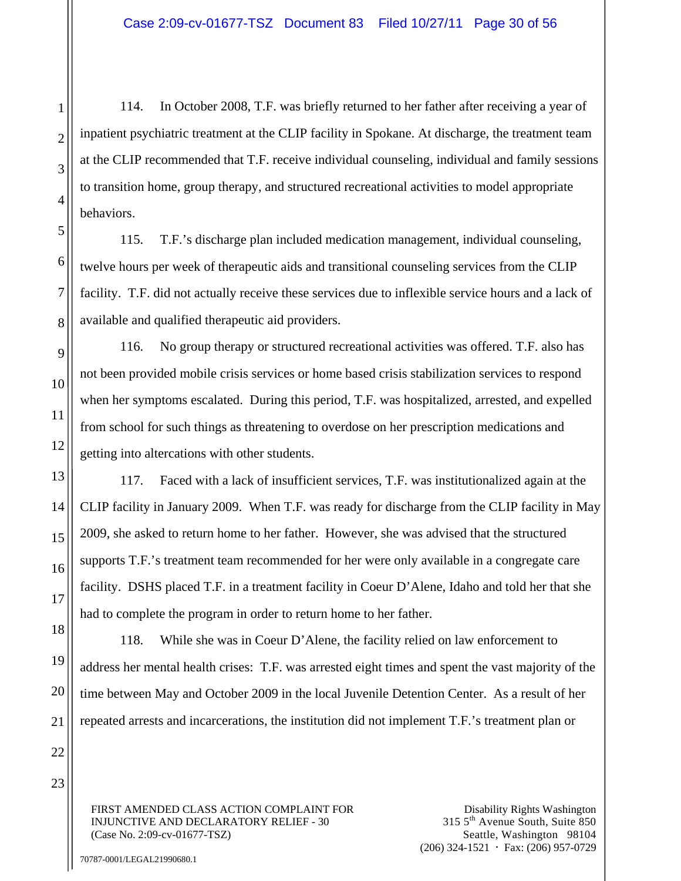114. In October 2008, T.F. was briefly returned to her father after receiving a year of inpatient psychiatric treatment at the CLIP facility in Spokane. At discharge, the treatment team at the CLIP recommended that T.F. receive individual counseling, individual and family sessions to transition home, group therapy, and structured recreational activities to model appropriate behaviors.

115. T.F.'s discharge plan included medication management, individual counseling, twelve hours per week of therapeutic aids and transitional counseling services from the CLIP facility. T.F. did not actually receive these services due to inflexible service hours and a lack of available and qualified therapeutic aid providers.

116. No group therapy or structured recreational activities was offered. T.F. also has not been provided mobile crisis services or home based crisis stabilization services to respond when her symptoms escalated. During this period, T.F. was hospitalized, arrested, and expelled from school for such things as threatening to overdose on her prescription medications and getting into altercations with other students.

117. Faced with a lack of insufficient services, T.F. was institutionalized again at the CLIP facility in January 2009. When T.F. was ready for discharge from the CLIP facility in May 2009, she asked to return home to her father. However, she was advised that the structured supports T.F.'s treatment team recommended for her were only available in a congregate care facility. DSHS placed T.F. in a treatment facility in Coeur D'Alene, Idaho and told her that she had to complete the program in order to return home to her father.

118. While she was in Coeur D'Alene, the facility relied on law enforcement to address her mental health crises: T.F. was arrested eight times and spent the vast majority of the time between May and October 2009 in the local Juvenile Detention Center. As a result of her repeated arrests and incarcerations, the institution did not implement T.F.'s treatment plan or

FIRST AMENDED CLASS ACTION COMPLAINT FOR INJUNCTIVE AND DECLARATORY RELIEF - 30 (Case No. 2:09-cv-01677-TSZ)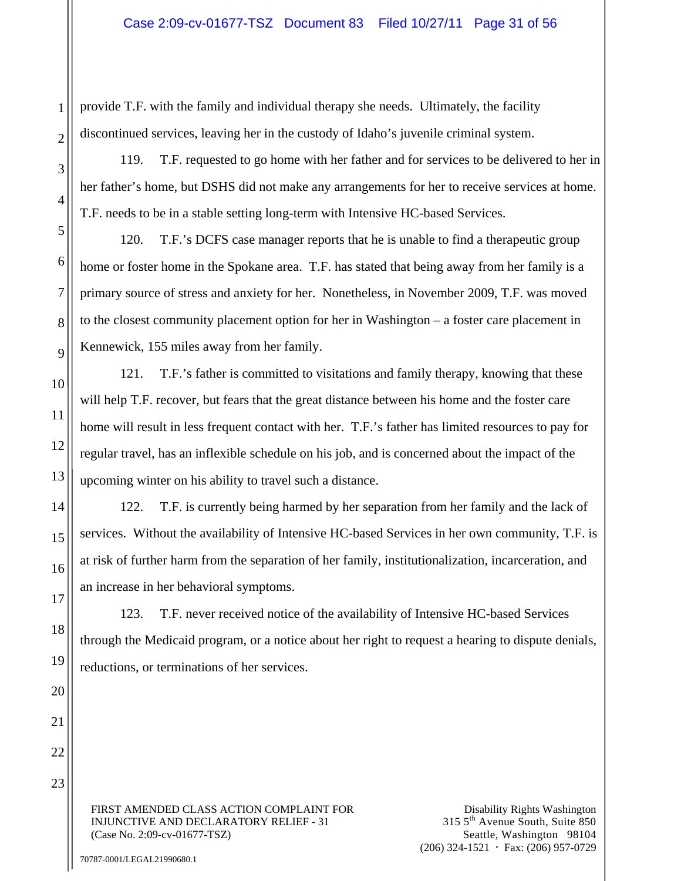provide T.F. with the family and individual therapy she needs. Ultimately, the facility discontinued services, leaving her in the custody of Idaho's juvenile criminal system.

119. T.F. requested to go home with her father and for services to be delivered to her in her father's home, but DSHS did not make any arrangements for her to receive services at home. T.F. needs to be in a stable setting long-term with Intensive HC-based Services.

120. T.F.'s DCFS case manager reports that he is unable to find a therapeutic group home or foster home in the Spokane area. T.F. has stated that being away from her family is a primary source of stress and anxiety for her. Nonetheless, in November 2009, T.F. was moved to the closest community placement option for her in Washington – a foster care placement in Kennewick, 155 miles away from her family.

121. T.F.'s father is committed to visitations and family therapy, knowing that these will help T.F. recover, but fears that the great distance between his home and the foster care home will result in less frequent contact with her. T.F.'s father has limited resources to pay for regular travel, has an inflexible schedule on his job, and is concerned about the impact of the upcoming winter on his ability to travel such a distance.

122. T.F. is currently being harmed by her separation from her family and the lack of services. Without the availability of Intensive HC-based Services in her own community, T.F. is at risk of further harm from the separation of her family, institutionalization, incarceration, and an increase in her behavioral symptoms.

123. T.F. never received notice of the availability of Intensive HC-based Services through the Medicaid program, or a notice about her right to request a hearing to dispute denials, reductions, or terminations of her services.

FIRST AMENDED CLASS ACTION COMPLAINT FOR INJUNCTIVE AND DECLARATORY RELIEF - 31 (Case No. 2:09-cv-01677-TSZ)

Disability Rights Washington 315 5th Avenue South, Suite 850 Seattle, Washington 98104  $(206)$  324-1521  $\cdot$  Fax: (206) 957-0729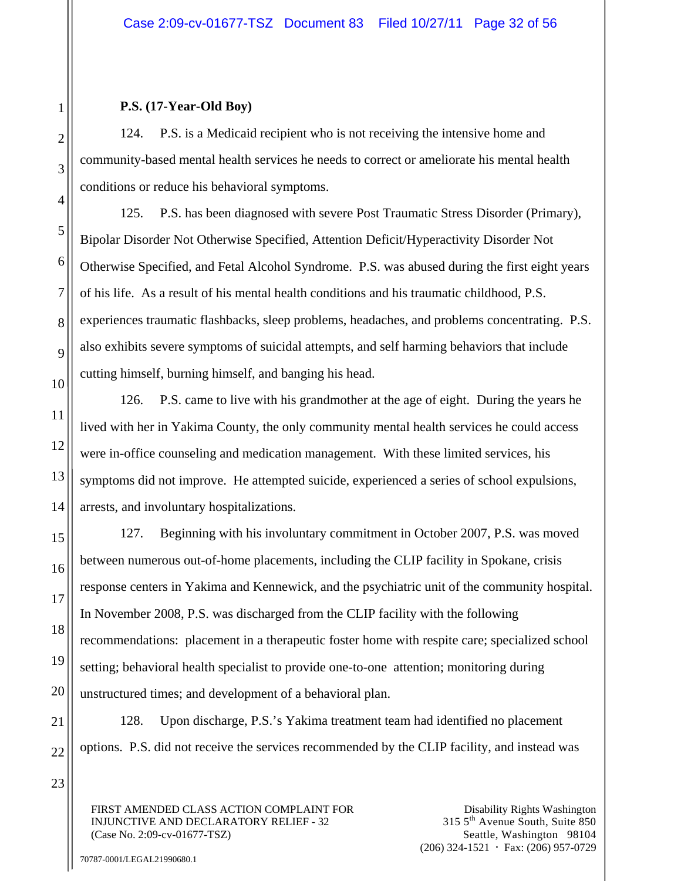### **P.S. (17-Year-Old Boy)**

124. P.S. is a Medicaid recipient who is not receiving the intensive home and community-based mental health services he needs to correct or ameliorate his mental health conditions or reduce his behavioral symptoms.

125. P.S. has been diagnosed with severe Post Traumatic Stress Disorder (Primary), Bipolar Disorder Not Otherwise Specified, Attention Deficit/Hyperactivity Disorder Not Otherwise Specified, and Fetal Alcohol Syndrome. P.S. was abused during the first eight years of his life. As a result of his mental health conditions and his traumatic childhood, P.S. experiences traumatic flashbacks, sleep problems, headaches, and problems concentrating. P.S. also exhibits severe symptoms of suicidal attempts, and self harming behaviors that include cutting himself, burning himself, and banging his head.

126. P.S. came to live with his grandmother at the age of eight. During the years he lived with her in Yakima County, the only community mental health services he could access were in-office counseling and medication management. With these limited services, his symptoms did not improve. He attempted suicide, experienced a series of school expulsions, arrests, and involuntary hospitalizations.

127. Beginning with his involuntary commitment in October 2007, P.S. was moved between numerous out-of-home placements, including the CLIP facility in Spokane, crisis response centers in Yakima and Kennewick, and the psychiatric unit of the community hospital. In November 2008, P.S. was discharged from the CLIP facility with the following recommendations: placement in a therapeutic foster home with respite care; specialized school setting; behavioral health specialist to provide one-to-one attention; monitoring during unstructured times; and development of a behavioral plan.

128. Upon discharge, P.S.'s Yakima treatment team had identified no placement options. P.S. did not receive the services recommended by the CLIP facility, and instead was

FIRST AMENDED CLASS ACTION COMPLAINT FOR INJUNCTIVE AND DECLARATORY RELIEF - 32 (Case No. 2:09-cv-01677-TSZ)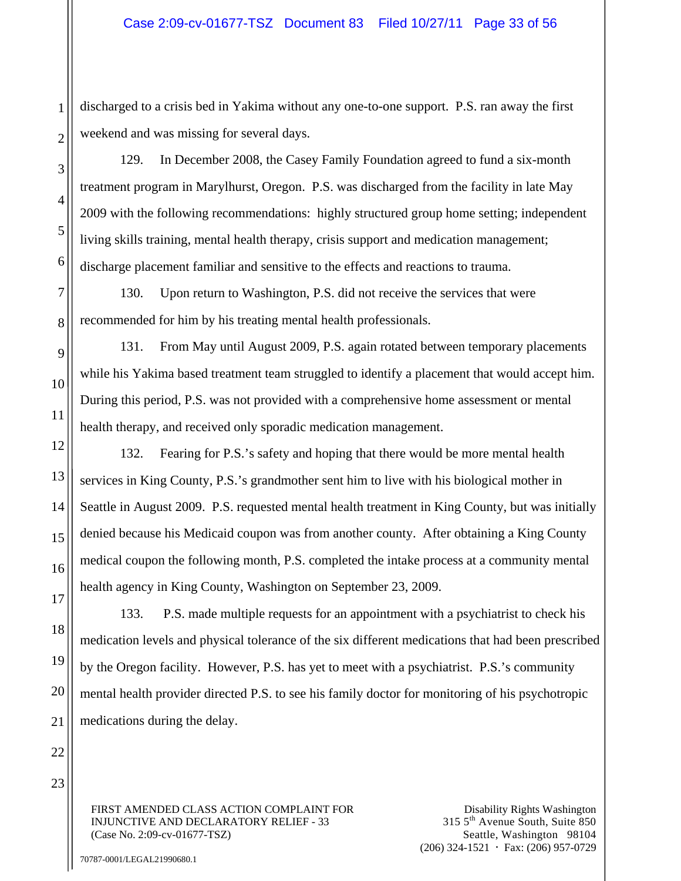discharged to a crisis bed in Yakima without any one-to-one support. P.S. ran away the first weekend and was missing for several days.

129. In December 2008, the Casey Family Foundation agreed to fund a six-month treatment program in Marylhurst, Oregon. P.S. was discharged from the facility in late May 2009 with the following recommendations: highly structured group home setting; independent living skills training, mental health therapy, crisis support and medication management; discharge placement familiar and sensitive to the effects and reactions to trauma.

130. Upon return to Washington, P.S. did not receive the services that were recommended for him by his treating mental health professionals.

131. From May until August 2009, P.S. again rotated between temporary placements while his Yakima based treatment team struggled to identify a placement that would accept him. During this period, P.S. was not provided with a comprehensive home assessment or mental health therapy, and received only sporadic medication management.

132. Fearing for P.S.'s safety and hoping that there would be more mental health services in King County, P.S.'s grandmother sent him to live with his biological mother in Seattle in August 2009. P.S. requested mental health treatment in King County, but was initially denied because his Medicaid coupon was from another county. After obtaining a King County medical coupon the following month, P.S. completed the intake process at a community mental health agency in King County, Washington on September 23, 2009.

133. P.S. made multiple requests for an appointment with a psychiatrist to check his medication levels and physical tolerance of the six different medications that had been prescribed by the Oregon facility. However, P.S. has yet to meet with a psychiatrist. P.S.'s community mental health provider directed P.S. to see his family doctor for monitoring of his psychotropic medications during the delay.

FIRST AMENDED CLASS ACTION COMPLAINT FOR INJUNCTIVE AND DECLARATORY RELIEF - 33 (Case No. 2:09-cv-01677-TSZ)

Disability Rights Washington 315 5th Avenue South, Suite 850 Seattle, Washington 98104  $(206)$  324-1521  $\cdot$  Fax: (206) 957-0729

70787-0001/LEGAL21990680.1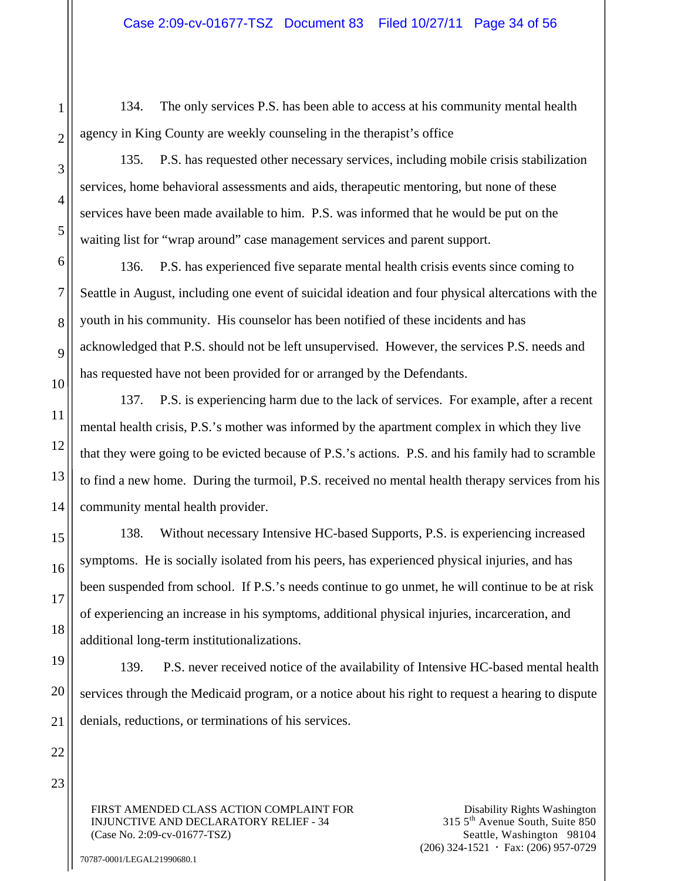134. The only services P.S. has been able to access at his community mental health agency in King County are weekly counseling in the therapist's office

135. P.S. has requested other necessary services, including mobile crisis stabilization services, home behavioral assessments and aids, therapeutic mentoring, but none of these services have been made available to him. P.S. was informed that he would be put on the waiting list for "wrap around" case management services and parent support.

136. P.S. has experienced five separate mental health crisis events since coming to Seattle in August, including one event of suicidal ideation and four physical altercations with the youth in his community. His counselor has been notified of these incidents and has acknowledged that P.S. should not be left unsupervised. However, the services P.S. needs and has requested have not been provided for or arranged by the Defendants.

137. P.S. is experiencing harm due to the lack of services. For example, after a recent mental health crisis, P.S.'s mother was informed by the apartment complex in which they live that they were going to be evicted because of P.S.'s actions. P.S. and his family had to scramble to find a new home. During the turmoil, P.S. received no mental health therapy services from his community mental health provider.

138. Without necessary Intensive HC-based Supports, P.S. is experiencing increased symptoms. He is socially isolated from his peers, has experienced physical injuries, and has been suspended from school. If P.S.'s needs continue to go unmet, he will continue to be at risk of experiencing an increase in his symptoms, additional physical injuries, incarceration, and additional long-term institutionalizations.

139. P.S. never received notice of the availability of Intensive HC-based mental health services through the Medicaid program, or a notice about his right to request a hearing to dispute denials, reductions, or terminations of his services.

FIRST AMENDED CLASS ACTION COMPLAINT FOR INJUNCTIVE AND DECLARATORY RELIEF - 34 (Case No. 2:09-cv-01677-TSZ)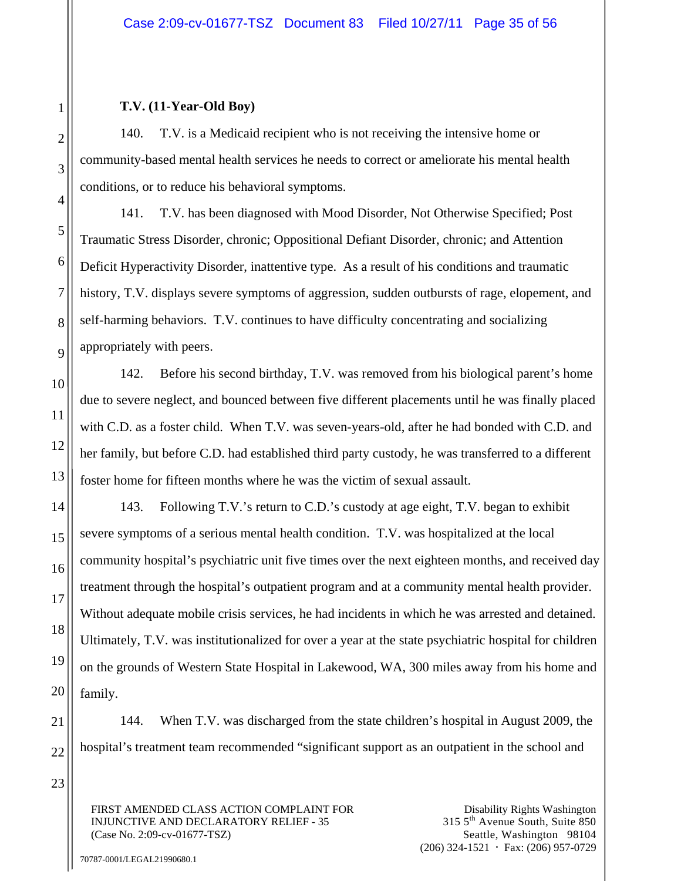## **T.V. (11-Year-Old Boy)**

140. T.V. is a Medicaid recipient who is not receiving the intensive home or community-based mental health services he needs to correct or ameliorate his mental health conditions, or to reduce his behavioral symptoms.

141. T.V. has been diagnosed with Mood Disorder, Not Otherwise Specified; Post Traumatic Stress Disorder, chronic; Oppositional Defiant Disorder, chronic; and Attention Deficit Hyperactivity Disorder, inattentive type. As a result of his conditions and traumatic history, T.V. displays severe symptoms of aggression, sudden outbursts of rage, elopement, and self-harming behaviors. T.V. continues to have difficulty concentrating and socializing appropriately with peers.

142. Before his second birthday, T.V. was removed from his biological parent's home due to severe neglect, and bounced between five different placements until he was finally placed with C.D. as a foster child. When T.V. was seven-years-old, after he had bonded with C.D. and her family, but before C.D. had established third party custody, he was transferred to a different foster home for fifteen months where he was the victim of sexual assault.

143. Following T.V.'s return to C.D.'s custody at age eight, T.V. began to exhibit severe symptoms of a serious mental health condition. T.V. was hospitalized at the local community hospital's psychiatric unit five times over the next eighteen months, and received day treatment through the hospital's outpatient program and at a community mental health provider. Without adequate mobile crisis services, he had incidents in which he was arrested and detained. Ultimately, T.V. was institutionalized for over a year at the state psychiatric hospital for children on the grounds of Western State Hospital in Lakewood, WA, 300 miles away from his home and family.

144. When T.V. was discharged from the state children's hospital in August 2009, the hospital's treatment team recommended "significant support as an outpatient in the school and

FIRST AMENDED CLASS ACTION COMPLAINT FOR INJUNCTIVE AND DECLARATORY RELIEF - 35 (Case No. 2:09-cv-01677-TSZ)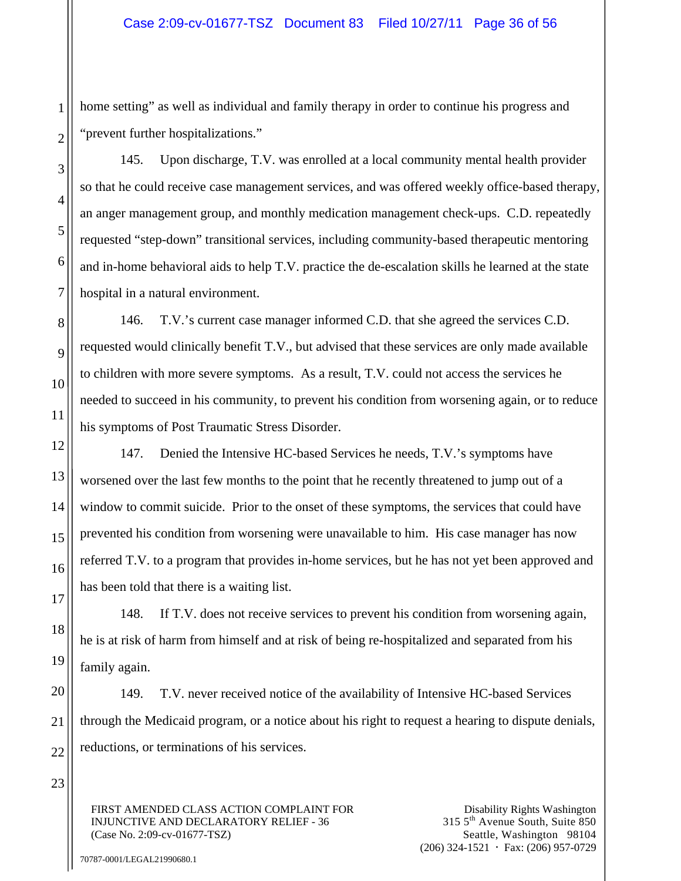home setting" as well as individual and family therapy in order to continue his progress and "prevent further hospitalizations."

145. Upon discharge, T.V. was enrolled at a local community mental health provider so that he could receive case management services, and was offered weekly office-based therapy, an anger management group, and monthly medication management check-ups. C.D. repeatedly requested "step-down" transitional services, including community-based therapeutic mentoring and in-home behavioral aids to help T.V. practice the de-escalation skills he learned at the state hospital in a natural environment.

146. T.V.'s current case manager informed C.D. that she agreed the services C.D. requested would clinically benefit T.V., but advised that these services are only made available to children with more severe symptoms. As a result, T.V. could not access the services he needed to succeed in his community, to prevent his condition from worsening again, or to reduce his symptoms of Post Traumatic Stress Disorder.

147. Denied the Intensive HC-based Services he needs, T.V.'s symptoms have worsened over the last few months to the point that he recently threatened to jump out of a window to commit suicide. Prior to the onset of these symptoms, the services that could have prevented his condition from worsening were unavailable to him. His case manager has now referred T.V. to a program that provides in-home services, but he has not yet been approved and has been told that there is a waiting list.

148. If T.V. does not receive services to prevent his condition from worsening again, he is at risk of harm from himself and at risk of being re-hospitalized and separated from his family again.

149. T.V. never received notice of the availability of Intensive HC-based Services through the Medicaid program, or a notice about his right to request a hearing to dispute denials, reductions, or terminations of his services.

FIRST AMENDED CLASS ACTION COMPLAINT FOR INJUNCTIVE AND DECLARATORY RELIEF - 36 (Case No. 2:09-cv-01677-TSZ)

Disability Rights Washington 315 5th Avenue South, Suite 850 Seattle, Washington 98104  $(206)$  324-1521  $\cdot$  Fax: (206) 957-0729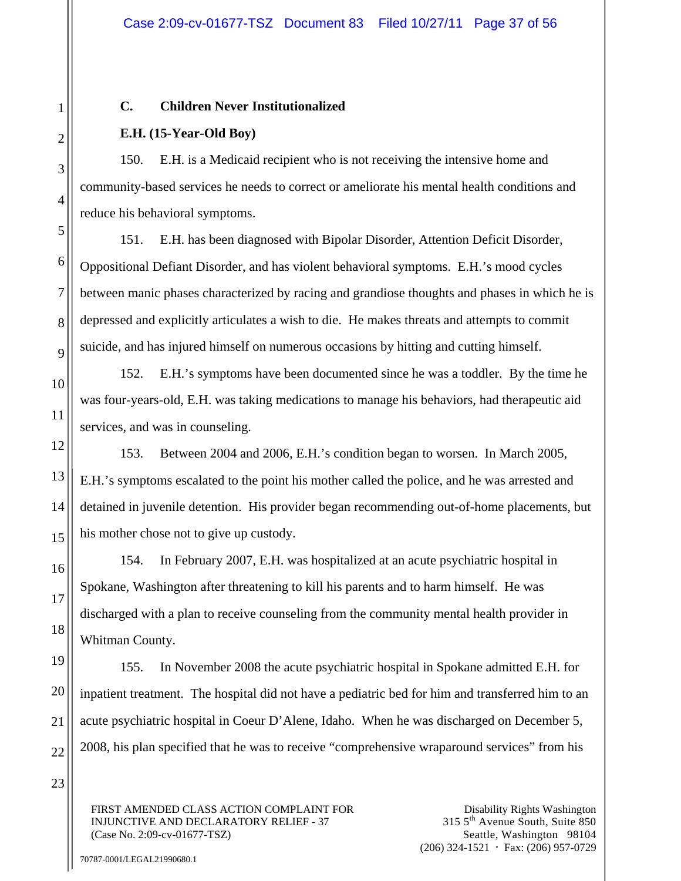## **C. Children Never Institutionalized**

# **E.H. (15-Year-Old Boy)**

150. E.H. is a Medicaid recipient who is not receiving the intensive home and community-based services he needs to correct or ameliorate his mental health conditions and reduce his behavioral symptoms.

151. E.H. has been diagnosed with Bipolar Disorder, Attention Deficit Disorder, Oppositional Defiant Disorder, and has violent behavioral symptoms. E.H.'s mood cycles between manic phases characterized by racing and grandiose thoughts and phases in which he is depressed and explicitly articulates a wish to die. He makes threats and attempts to commit suicide, and has injured himself on numerous occasions by hitting and cutting himself.

152. E.H.'s symptoms have been documented since he was a toddler. By the time he was four-years-old, E.H. was taking medications to manage his behaviors, had therapeutic aid services, and was in counseling.

153. Between 2004 and 2006, E.H.'s condition began to worsen. In March 2005, E.H.'s symptoms escalated to the point his mother called the police, and he was arrested and detained in juvenile detention. His provider began recommending out-of-home placements, but his mother chose not to give up custody.

154. In February 2007, E.H. was hospitalized at an acute psychiatric hospital in Spokane, Washington after threatening to kill his parents and to harm himself. He was discharged with a plan to receive counseling from the community mental health provider in Whitman County.

155. In November 2008 the acute psychiatric hospital in Spokane admitted E.H. for inpatient treatment. The hospital did not have a pediatric bed for him and transferred him to an acute psychiatric hospital in Coeur D'Alene, Idaho. When he was discharged on December 5, 2008, his plan specified that he was to receive "comprehensive wraparound services" from his

FIRST AMENDED CLASS ACTION COMPLAINT FOR INJUNCTIVE AND DECLARATORY RELIEF - 37 (Case No. 2:09-cv-01677-TSZ)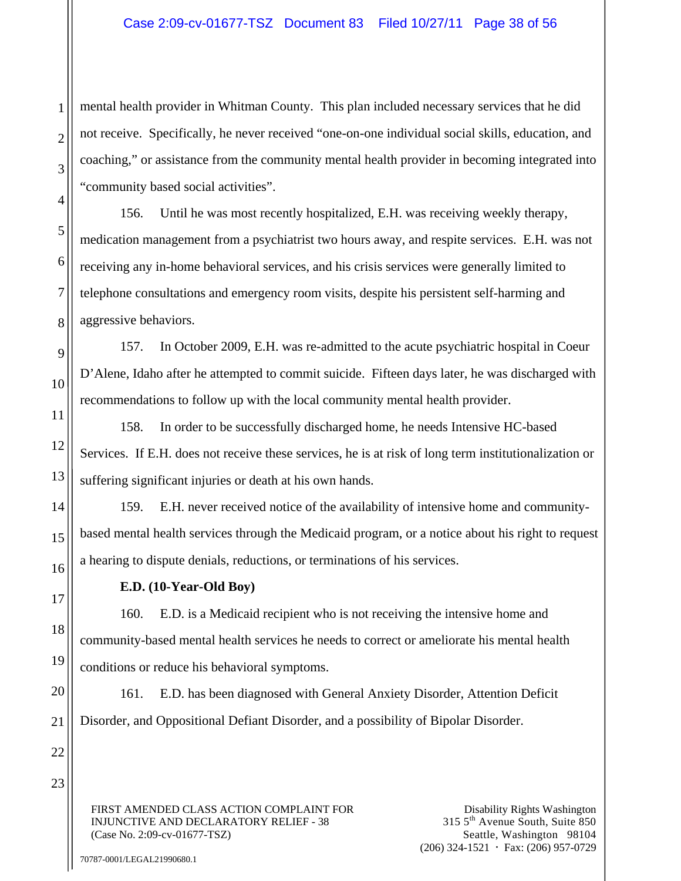## Case 2:09-cv-01677-TSZ Document 83 Filed 10/27/11 Page 38 of 56

mental health provider in Whitman County. This plan included necessary services that he did not receive. Specifically, he never received "one-on-one individual social skills, education, and coaching," or assistance from the community mental health provider in becoming integrated into "community based social activities".

156. Until he was most recently hospitalized, E.H. was receiving weekly therapy, medication management from a psychiatrist two hours away, and respite services. E.H. was not receiving any in-home behavioral services, and his crisis services were generally limited to telephone consultations and emergency room visits, despite his persistent self-harming and aggressive behaviors.

157. In October 2009, E.H. was re-admitted to the acute psychiatric hospital in Coeur D'Alene, Idaho after he attempted to commit suicide. Fifteen days later, he was discharged with recommendations to follow up with the local community mental health provider.

158. In order to be successfully discharged home, he needs Intensive HC-based Services. If E.H. does not receive these services, he is at risk of long term institutionalization or suffering significant injuries or death at his own hands.

159. E.H. never received notice of the availability of intensive home and communitybased mental health services through the Medicaid program, or a notice about his right to request a hearing to dispute denials, reductions, or terminations of his services.

**E.D. (10-Year-Old Boy)** 

160. E.D. is a Medicaid recipient who is not receiving the intensive home and community-based mental health services he needs to correct or ameliorate his mental health conditions or reduce his behavioral symptoms.

161. E.D. has been diagnosed with General Anxiety Disorder, Attention Deficit Disorder, and Oppositional Defiant Disorder, and a possibility of Bipolar Disorder.

FIRST AMENDED CLASS ACTION COMPLAINT FOR INJUNCTIVE AND DECLARATORY RELIEF - 38 (Case No. 2:09-cv-01677-TSZ)

Disability Rights Washington 315 5th Avenue South, Suite 850 Seattle, Washington 98104  $(206)$  324-1521  $\cdot$  Fax: (206) 957-0729

1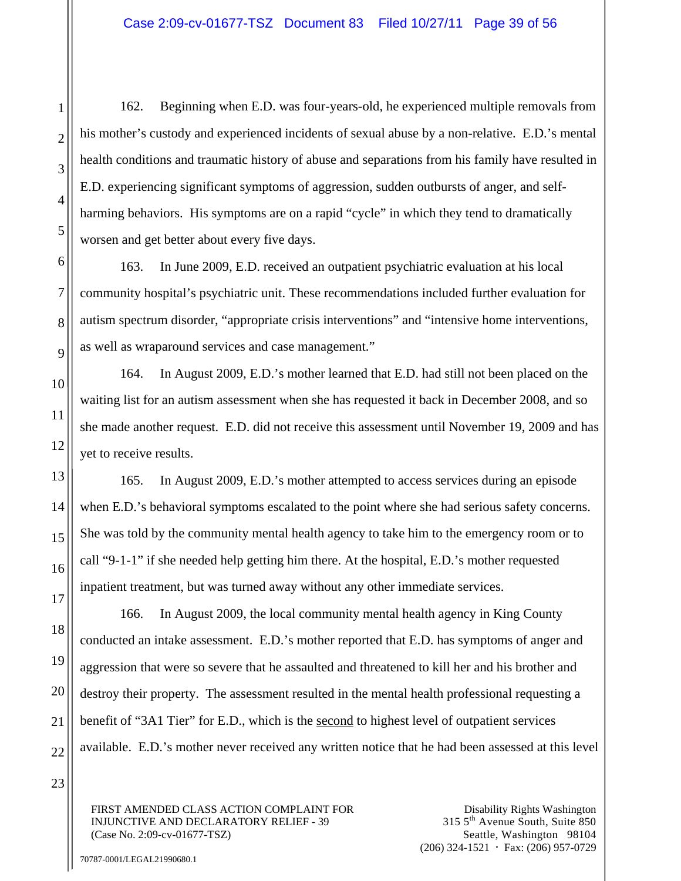162. Beginning when E.D. was four-years-old, he experienced multiple removals from his mother's custody and experienced incidents of sexual abuse by a non-relative. E.D.'s mental health conditions and traumatic history of abuse and separations from his family have resulted in E.D. experiencing significant symptoms of aggression, sudden outbursts of anger, and selfharming behaviors. His symptoms are on a rapid "cycle" in which they tend to dramatically worsen and get better about every five days.

163. In June 2009, E.D. received an outpatient psychiatric evaluation at his local community hospital's psychiatric unit. These recommendations included further evaluation for autism spectrum disorder, "appropriate crisis interventions" and "intensive home interventions, as well as wraparound services and case management."

164. In August 2009, E.D.'s mother learned that E.D. had still not been placed on the waiting list for an autism assessment when she has requested it back in December 2008, and so she made another request. E.D. did not receive this assessment until November 19, 2009 and has yet to receive results.

165. In August 2009, E.D.'s mother attempted to access services during an episode when E.D.'s behavioral symptoms escalated to the point where she had serious safety concerns. She was told by the community mental health agency to take him to the emergency room or to call "9-1-1" if she needed help getting him there. At the hospital, E.D.'s mother requested inpatient treatment, but was turned away without any other immediate services.

166. In August 2009, the local community mental health agency in King County conducted an intake assessment. E.D.'s mother reported that E.D. has symptoms of anger and aggression that were so severe that he assaulted and threatened to kill her and his brother and destroy their property. The assessment resulted in the mental health professional requesting a benefit of "3A1 Tier" for E.D., which is the second to highest level of outpatient services available. E.D.'s mother never received any written notice that he had been assessed at this level

23

1

2

3

4

5

6

7

8

9

10

11

12

13

14

15

16

17

18

19

20

21

22

FIRST AMENDED CLASS ACTION COMPLAINT FOR INJUNCTIVE AND DECLARATORY RELIEF - 39 (Case No. 2:09-cv-01677-TSZ)

Disability Rights Washington 315 5th Avenue South, Suite 850 Seattle, Washington 98104  $(206)$  324-1521  $\cdot$  Fax: (206) 957-0729

70787-0001/LEGAL21990680.1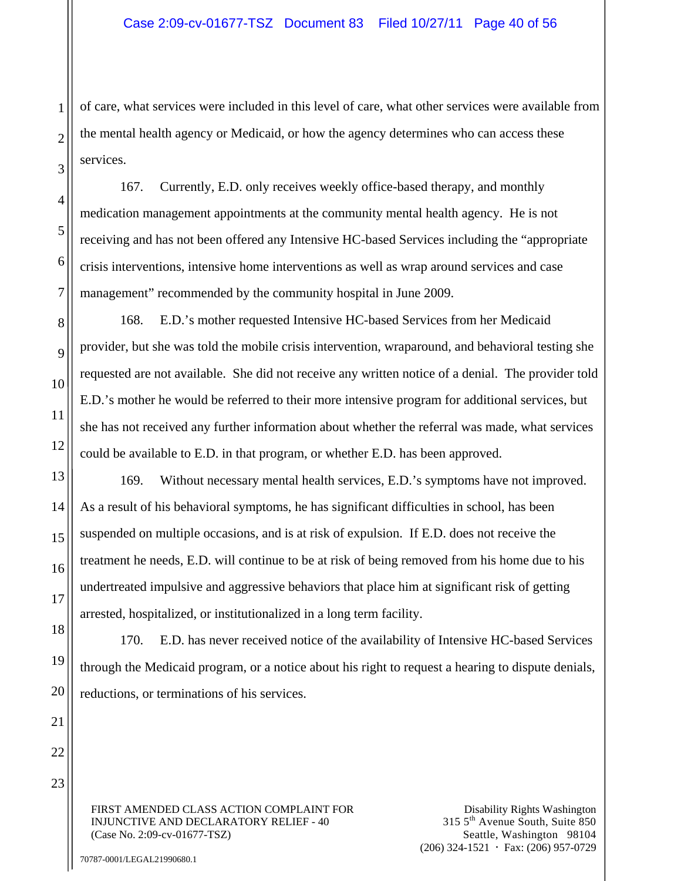of care, what services were included in this level of care, what other services were available from the mental health agency or Medicaid, or how the agency determines who can access these services.

167. Currently, E.D. only receives weekly office-based therapy, and monthly medication management appointments at the community mental health agency. He is not receiving and has not been offered any Intensive HC-based Services including the "appropriate crisis interventions, intensive home interventions as well as wrap around services and case management" recommended by the community hospital in June 2009.

168. E.D.'s mother requested Intensive HC-based Services from her Medicaid provider, but she was told the mobile crisis intervention, wraparound, and behavioral testing she requested are not available. She did not receive any written notice of a denial. The provider told E.D.'s mother he would be referred to their more intensive program for additional services, but she has not received any further information about whether the referral was made, what services could be available to E.D. in that program, or whether E.D. has been approved.

169. Without necessary mental health services, E.D.'s symptoms have not improved. As a result of his behavioral symptoms, he has significant difficulties in school, has been suspended on multiple occasions, and is at risk of expulsion. If E.D. does not receive the treatment he needs, E.D. will continue to be at risk of being removed from his home due to his undertreated impulsive and aggressive behaviors that place him at significant risk of getting arrested, hospitalized, or institutionalized in a long term facility.

170. E.D. has never received notice of the availability of Intensive HC-based Services through the Medicaid program, or a notice about his right to request a hearing to dispute denials, reductions, or terminations of his services.

FIRST AMENDED CLASS ACTION COMPLAINT FOR INJUNCTIVE AND DECLARATORY RELIEF - 40 (Case No. 2:09-cv-01677-TSZ)

Disability Rights Washington 315 5th Avenue South, Suite 850 Seattle, Washington 98104  $(206)$  324-1521  $\cdot$  Fax: (206) 957-0729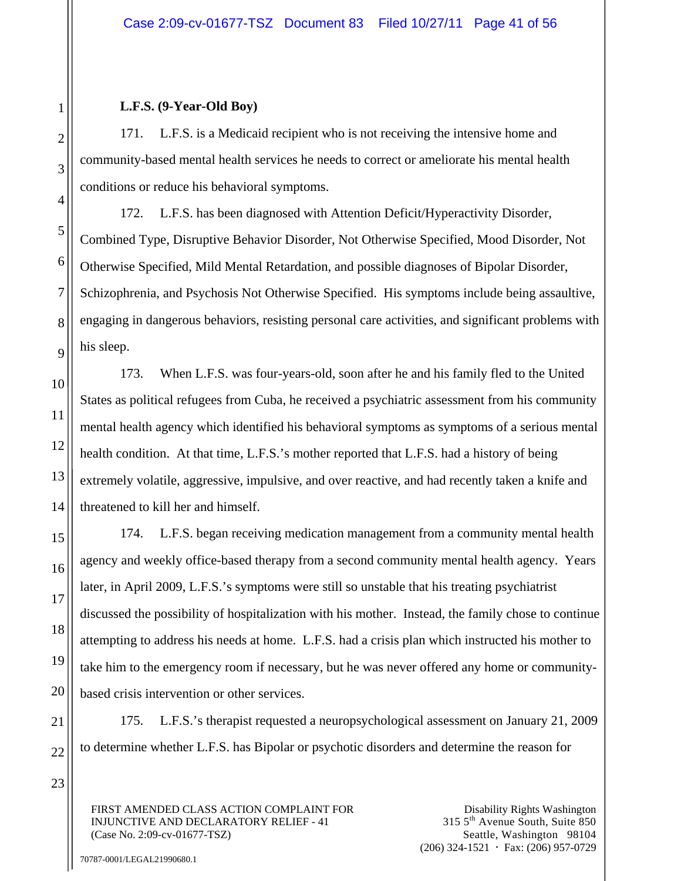#### **L.F.S. (9-Year-Old Boy)**

171. L.F.S. is a Medicaid recipient who is not receiving the intensive home and community-based mental health services he needs to correct or ameliorate his mental health conditions or reduce his behavioral symptoms.

172. L.F.S. has been diagnosed with Attention Deficit/Hyperactivity Disorder, Combined Type, Disruptive Behavior Disorder, Not Otherwise Specified, Mood Disorder, Not Otherwise Specified, Mild Mental Retardation, and possible diagnoses of Bipolar Disorder, Schizophrenia, and Psychosis Not Otherwise Specified. His symptoms include being assaultive, engaging in dangerous behaviors, resisting personal care activities, and significant problems with his sleep.

173. When L.F.S. was four-years-old, soon after he and his family fled to the United States as political refugees from Cuba, he received a psychiatric assessment from his community mental health agency which identified his behavioral symptoms as symptoms of a serious mental health condition. At that time, L.F.S.'s mother reported that L.F.S. had a history of being extremely volatile, aggressive, impulsive, and over reactive, and had recently taken a knife and threatened to kill her and himself.

174. L.F.S. began receiving medication management from a community mental health agency and weekly office-based therapy from a second community mental health agency. Years later, in April 2009, L.F.S.'s symptoms were still so unstable that his treating psychiatrist discussed the possibility of hospitalization with his mother. Instead, the family chose to continue attempting to address his needs at home. L.F.S. had a crisis plan which instructed his mother to take him to the emergency room if necessary, but he was never offered any home or communitybased crisis intervention or other services.

175. L.F.S.'s therapist requested a neuropsychological assessment on January 21, 2009 to determine whether L.F.S. has Bipolar or psychotic disorders and determine the reason for

FIRST AMENDED CLASS ACTION COMPLAINT FOR INJUNCTIVE AND DECLARATORY RELIEF - 41 (Case No. 2:09-cv-01677-TSZ)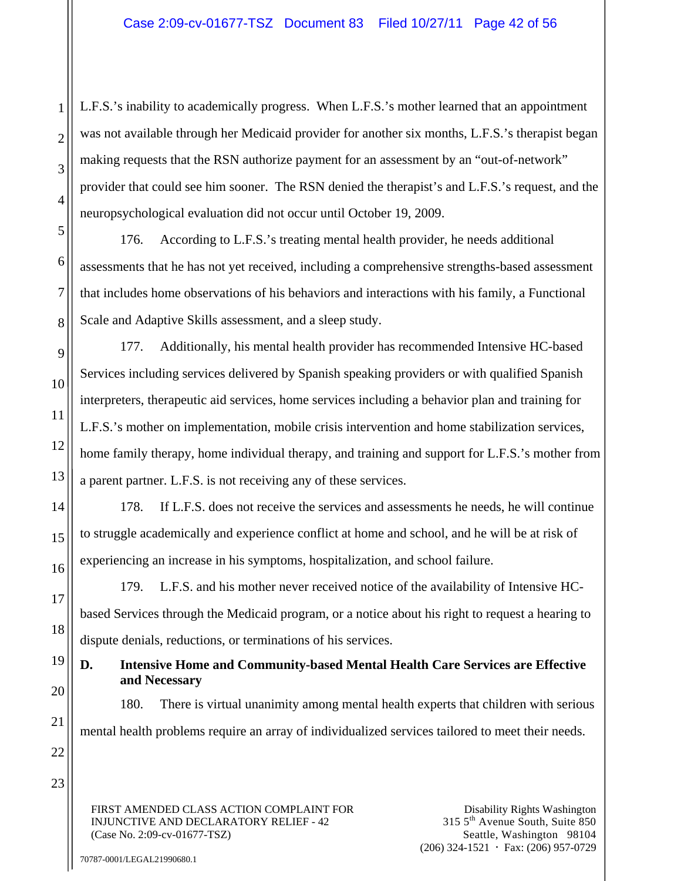L.F.S.'s inability to academically progress. When L.F.S.'s mother learned that an appointment was not available through her Medicaid provider for another six months, L.F.S.'s therapist began making requests that the RSN authorize payment for an assessment by an "out-of-network" provider that could see him sooner. The RSN denied the therapist's and L.F.S.'s request, and the neuropsychological evaluation did not occur until October 19, 2009.

176. According to L.F.S.'s treating mental health provider, he needs additional assessments that he has not yet received, including a comprehensive strengths-based assessment that includes home observations of his behaviors and interactions with his family, a Functional Scale and Adaptive Skills assessment, and a sleep study.

177. Additionally, his mental health provider has recommended Intensive HC-based Services including services delivered by Spanish speaking providers or with qualified Spanish interpreters, therapeutic aid services, home services including a behavior plan and training for L.F.S.'s mother on implementation, mobile crisis intervention and home stabilization services, home family therapy, home individual therapy, and training and support for L.F.S.'s mother from a parent partner. L.F.S. is not receiving any of these services.

178. If L.F.S. does not receive the services and assessments he needs, he will continue to struggle academically and experience conflict at home and school, and he will be at risk of experiencing an increase in his symptoms, hospitalization, and school failure.

179. L.F.S. and his mother never received notice of the availability of Intensive HCbased Services through the Medicaid program, or a notice about his right to request a hearing to dispute denials, reductions, or terminations of his services.

# **D. Intensive Home and Community-based Mental Health Care Services are Effective and Necessary**

180. There is virtual unanimity among mental health experts that children with serious mental health problems require an array of individualized services tailored to meet their needs.

FIRST AMENDED CLASS ACTION COMPLAINT FOR INJUNCTIVE AND DECLARATORY RELIEF - 42 (Case No. 2:09-cv-01677-TSZ)

Disability Rights Washington 315 5th Avenue South, Suite 850 Seattle, Washington 98104  $(206)$  324-1521  $\cdot$  Fax: (206) 957-0729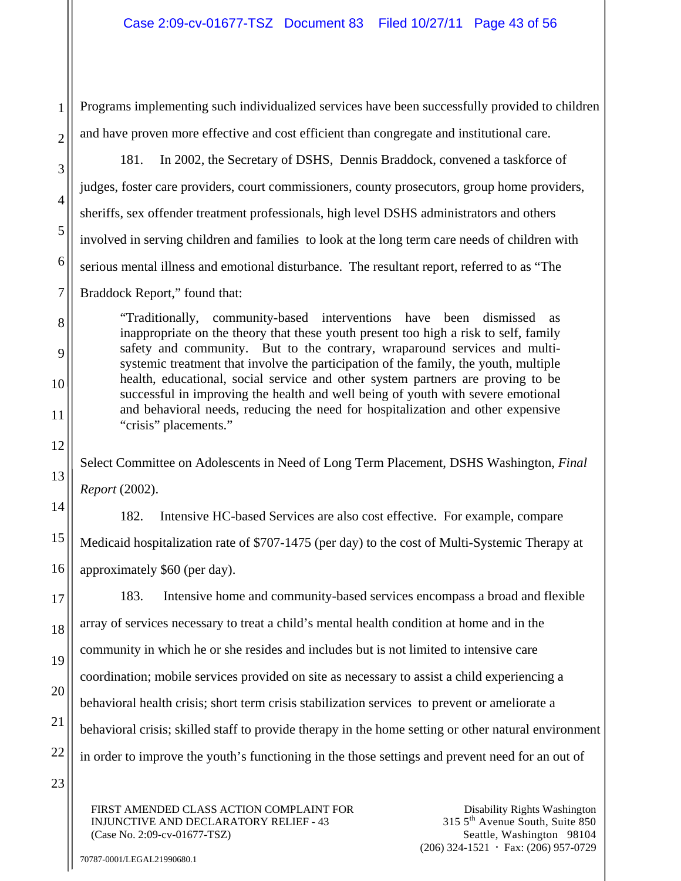Programs implementing such individualized services have been successfully provided to children and have proven more effective and cost efficient than congregate and institutional care.

181. In 2002, the Secretary of DSHS, Dennis Braddock, convened a taskforce of judges, foster care providers, court commissioners, county prosecutors, group home providers, sheriffs, sex offender treatment professionals, high level DSHS administrators and others involved in serving children and families to look at the long term care needs of children with serious mental illness and emotional disturbance. The resultant report, referred to as "The Braddock Report," found that:

"Traditionally, community-based interventions have been dismissed as inappropriate on the theory that these youth present too high a risk to self, family safety and community. But to the contrary, wraparound services and multisystemic treatment that involve the participation of the family, the youth, multiple health, educational, social service and other system partners are proving to be successful in improving the health and well being of youth with severe emotional and behavioral needs, reducing the need for hospitalization and other expensive "crisis" placements."

Select Committee on Adolescents in Need of Long Term Placement, DSHS Washington, *Final Report* (2002).

182. Intensive HC-based Services are also cost effective. For example, compare Medicaid hospitalization rate of \$707-1475 (per day) to the cost of Multi-Systemic Therapy at approximately \$60 (per day).

183. Intensive home and community-based services encompass a broad and flexible array of services necessary to treat a child's mental health condition at home and in the community in which he or she resides and includes but is not limited to intensive care coordination; mobile services provided on site as necessary to assist a child experiencing a behavioral health crisis; short term crisis stabilization services to prevent or ameliorate a behavioral crisis; skilled staff to provide therapy in the home setting or other natural environment in order to improve the youth's functioning in the those settings and prevent need for an out of

FIRST AMENDED CLASS ACTION COMPLAINT FOR INJUNCTIVE AND DECLARATORY RELIEF - 43 (Case No. 2:09-cv-01677-TSZ)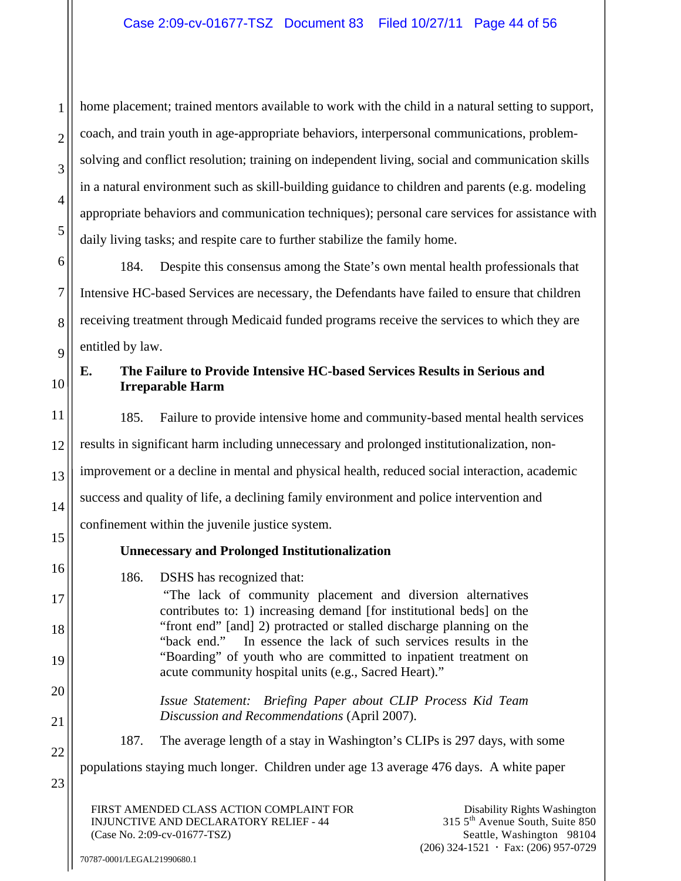home placement; trained mentors available to work with the child in a natural setting to support, coach, and train youth in age-appropriate behaviors, interpersonal communications, problemsolving and conflict resolution; training on independent living, social and communication skills in a natural environment such as skill-building guidance to children and parents (e.g. modeling appropriate behaviors and communication techniques); personal care services for assistance with daily living tasks; and respite care to further stabilize the family home.

184. Despite this consensus among the State's own mental health professionals that Intensive HC-based Services are necessary, the Defendants have failed to ensure that children receiving treatment through Medicaid funded programs receive the services to which they are entitled by law.

# **E. The Failure to Provide Intensive HC-based Services Results in Serious and Irreparable Harm**

185. Failure to provide intensive home and community-based mental health services results in significant harm including unnecessary and prolonged institutionalization, nonimprovement or a decline in mental and physical health, reduced social interaction, academic success and quality of life, a declining family environment and police intervention and confinement within the juvenile justice system.

# **Unnecessary and Prolonged Institutionalization**

186. DSHS has recognized that:

 "The lack of community placement and diversion alternatives contributes to: 1) increasing demand [for institutional beds] on the "front end" [and] 2) protracted or stalled discharge planning on the "back end." In essence the lack of such services results in the "Boarding" of youth who are committed to inpatient treatment on acute community hospital units (e.g., Sacred Heart)."

*Issue Statement: Briefing Paper about CLIP Process Kid Team Discussion and Recommendations* (April 2007).

187. The average length of a stay in Washington's CLIPs is 297 days, with some

populations staying much longer. Children under age 13 average 476 days. A white paper

FIRST AMENDED CLASS ACTION COMPLAINT FOR INJUNCTIVE AND DECLARATORY RELIEF - 44 (Case No. 2:09-cv-01677-TSZ)

1

2

3

4

5

6

7

8

9

10

11

12

13

14

15

16

17

18

19

20

21

22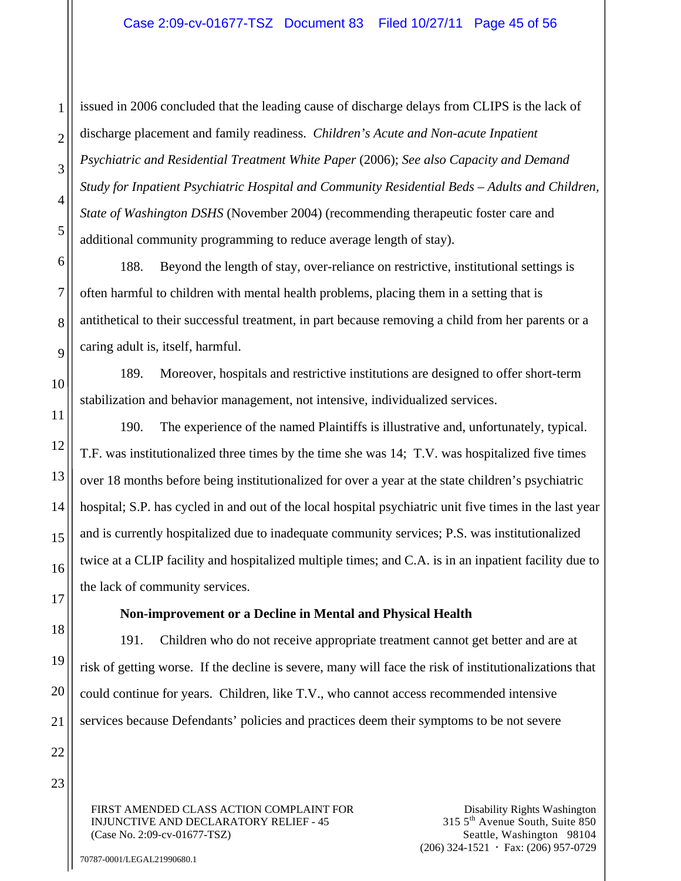issued in 2006 concluded that the leading cause of discharge delays from CLIPS is the lack of discharge placement and family readiness. *Children's Acute and Non-acute Inpatient Psychiatric and Residential Treatment White Paper* (2006); *See also Capacity and Demand Study for Inpatient Psychiatric Hospital and Community Residential Beds – Adults and Children, State of Washington DSHS* (November 2004) (recommending therapeutic foster care and additional community programming to reduce average length of stay).

188. Beyond the length of stay, over-reliance on restrictive, institutional settings is often harmful to children with mental health problems, placing them in a setting that is antithetical to their successful treatment, in part because removing a child from her parents or a caring adult is, itself, harmful.

189. Moreover, hospitals and restrictive institutions are designed to offer short-term stabilization and behavior management, not intensive, individualized services.

190. The experience of the named Plaintiffs is illustrative and, unfortunately, typical. T.F. was institutionalized three times by the time she was 14; T.V. was hospitalized five times over 18 months before being institutionalized for over a year at the state children's psychiatric hospital; S.P. has cycled in and out of the local hospital psychiatric unit five times in the last year and is currently hospitalized due to inadequate community services; P.S. was institutionalized twice at a CLIP facility and hospitalized multiple times; and C.A. is in an inpatient facility due to the lack of community services.

## **Non-improvement or a Decline in Mental and Physical Health**

191. Children who do not receive appropriate treatment cannot get better and are at risk of getting worse. If the decline is severe, many will face the risk of institutionalizations that could continue for years. Children, like T.V., who cannot access recommended intensive services because Defendants' policies and practices deem their symptoms to be not severe

FIRST AMENDED CLASS ACTION COMPLAINT FOR INJUNCTIVE AND DECLARATORY RELIEF - 45 (Case No. 2:09-cv-01677-TSZ)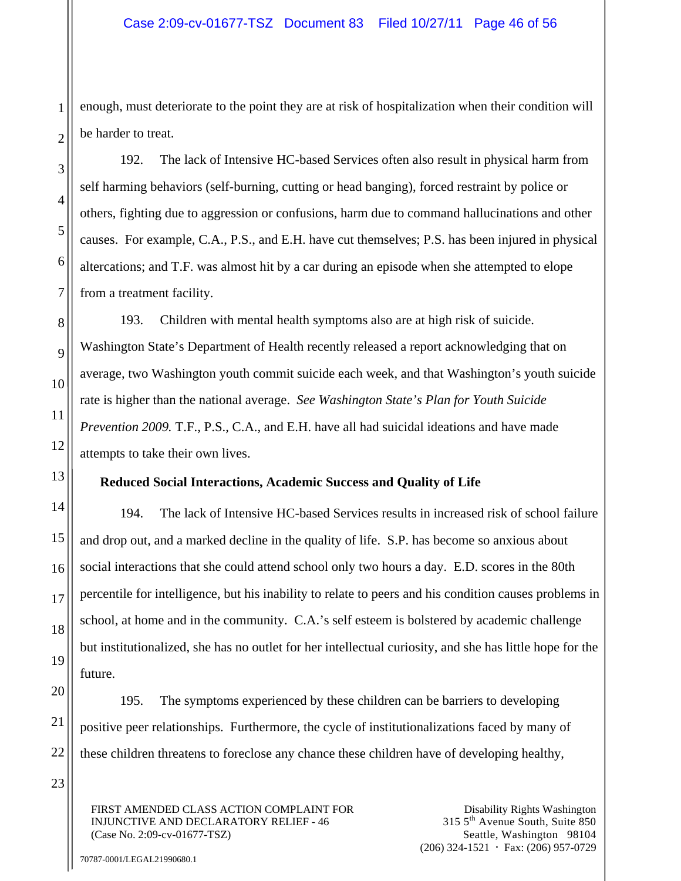enough, must deteriorate to the point they are at risk of hospitalization when their condition will be harder to treat.

192. The lack of Intensive HC-based Services often also result in physical harm from self harming behaviors (self-burning, cutting or head banging), forced restraint by police or others, fighting due to aggression or confusions, harm due to command hallucinations and other causes. For example, C.A., P.S., and E.H. have cut themselves; P.S. has been injured in physical altercations; and T.F. was almost hit by a car during an episode when she attempted to elope from a treatment facility.

193. Children with mental health symptoms also are at high risk of suicide. Washington State's Department of Health recently released a report acknowledging that on average, two Washington youth commit suicide each week, and that Washington's youth suicide rate is higher than the national average. *See Washington State's Plan for Youth Suicide Prevention 2009.* T.F., P.S., C.A., and E.H. have all had suicidal ideations and have made attempts to take their own lives.

#### **Reduced Social Interactions, Academic Success and Quality of Life**

194. The lack of Intensive HC-based Services results in increased risk of school failure and drop out, and a marked decline in the quality of life. S.P. has become so anxious about social interactions that she could attend school only two hours a day. E.D. scores in the 80th percentile for intelligence, but his inability to relate to peers and his condition causes problems in school, at home and in the community. C.A.'s self esteem is bolstered by academic challenge but institutionalized, she has no outlet for her intellectual curiosity, and she has little hope for the future.

195. The symptoms experienced by these children can be barriers to developing positive peer relationships. Furthermore, the cycle of institutionalizations faced by many of these children threatens to foreclose any chance these children have of developing healthy,

FIRST AMENDED CLASS ACTION COMPLAINT FOR INJUNCTIVE AND DECLARATORY RELIEF - 46 (Case No. 2:09-cv-01677-TSZ)

Disability Rights Washington 315 5th Avenue South, Suite 850 Seattle, Washington 98104  $(206)$  324-1521  $\cdot$  Fax: (206) 957-0729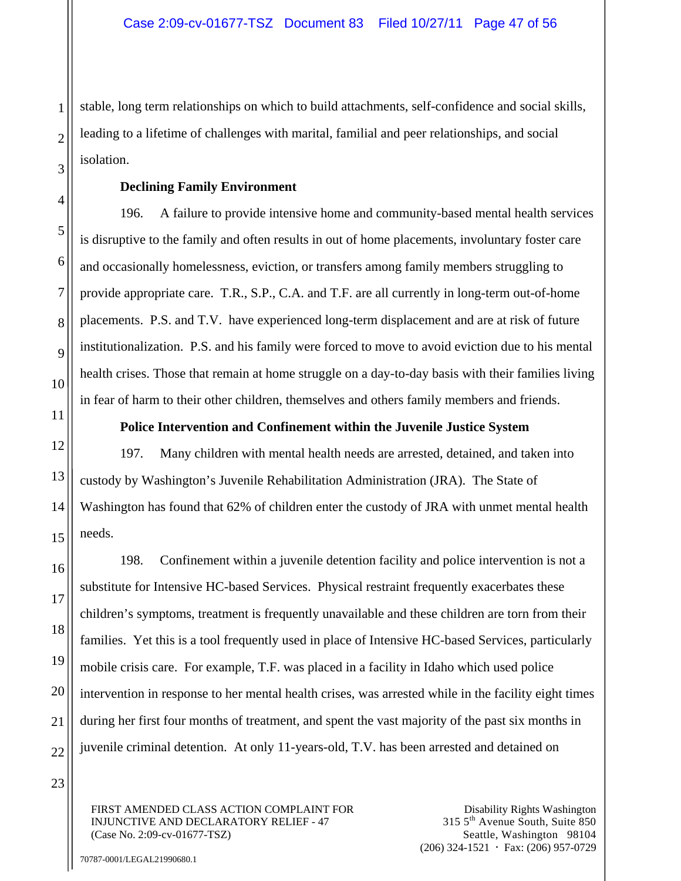stable, long term relationships on which to build attachments, self-confidence and social skills, leading to a lifetime of challenges with marital, familial and peer relationships, and social isolation.

#### **Declining Family Environment**

196. A failure to provide intensive home and community-based mental health services is disruptive to the family and often results in out of home placements, involuntary foster care and occasionally homelessness, eviction, or transfers among family members struggling to provide appropriate care. T.R., S.P., C.A. and T.F. are all currently in long-term out-of-home placements. P.S. and T.V. have experienced long-term displacement and are at risk of future institutionalization. P.S. and his family were forced to move to avoid eviction due to his mental health crises. Those that remain at home struggle on a day-to-day basis with their families living in fear of harm to their other children, themselves and others family members and friends.

#### **Police Intervention and Confinement within the Juvenile Justice System**

197. Many children with mental health needs are arrested, detained, and taken into custody by Washington's Juvenile Rehabilitation Administration (JRA). The State of Washington has found that 62% of children enter the custody of JRA with unmet mental health needs.

198. Confinement within a juvenile detention facility and police intervention is not a substitute for Intensive HC-based Services. Physical restraint frequently exacerbates these children's symptoms, treatment is frequently unavailable and these children are torn from their families. Yet this is a tool frequently used in place of Intensive HC-based Services, particularly mobile crisis care. For example, T.F. was placed in a facility in Idaho which used police intervention in response to her mental health crises, was arrested while in the facility eight times during her first four months of treatment, and spent the vast majority of the past six months in juvenile criminal detention. At only 11-years-old, T.V. has been arrested and detained on

FIRST AMENDED CLASS ACTION COMPLAINT FOR INJUNCTIVE AND DECLARATORY RELIEF - 47 (Case No. 2:09-cv-01677-TSZ)

Disability Rights Washington 315 5th Avenue South, Suite 850 Seattle, Washington 98104  $(206)$  324-1521  $\cdot$  Fax: (206) 957-0729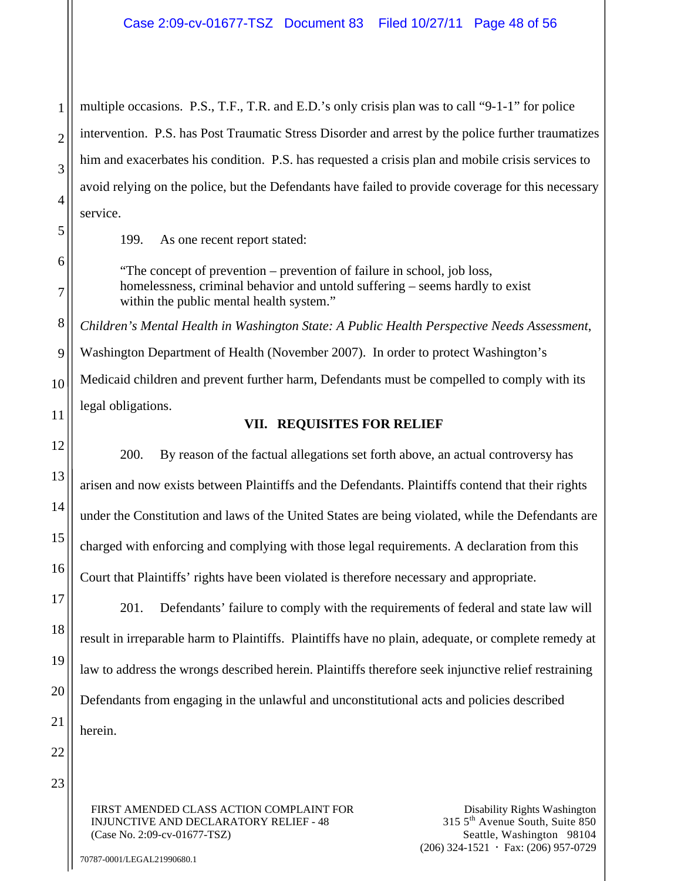multiple occasions. P.S., T.F., T.R. and E.D.'s only crisis plan was to call "9-1-1" for police intervention. P.S. has Post Traumatic Stress Disorder and arrest by the police further traumatizes him and exacerbates his condition. P.S. has requested a crisis plan and mobile crisis services to avoid relying on the police, but the Defendants have failed to provide coverage for this necessary service.

199. As one recent report stated:

"The concept of prevention – prevention of failure in school, job loss, homelessness, criminal behavior and untold suffering – seems hardly to exist within the public mental health system."

*Children's Mental Health in Washington State: A Public Health Perspective Needs Assessment*, Washington Department of Health (November 2007). In order to protect Washington's Medicaid children and prevent further harm, Defendants must be compelled to comply with its legal obligations.

## **VII. REQUISITES FOR RELIEF**

200. By reason of the factual allegations set forth above, an actual controversy has arisen and now exists between Plaintiffs and the Defendants. Plaintiffs contend that their rights under the Constitution and laws of the United States are being violated, while the Defendants are charged with enforcing and complying with those legal requirements. A declaration from this Court that Plaintiffs' rights have been violated is therefore necessary and appropriate.

201. Defendants' failure to comply with the requirements of federal and state law will result in irreparable harm to Plaintiffs. Plaintiffs have no plain, adequate, or complete remedy at law to address the wrongs described herein. Plaintiffs therefore seek injunctive relief restraining Defendants from engaging in the unlawful and unconstitutional acts and policies described herein.

FIRST AMENDED CLASS ACTION COMPLAINT FOR INJUNCTIVE AND DECLARATORY RELIEF - 48 (Case No. 2:09-cv-01677-TSZ)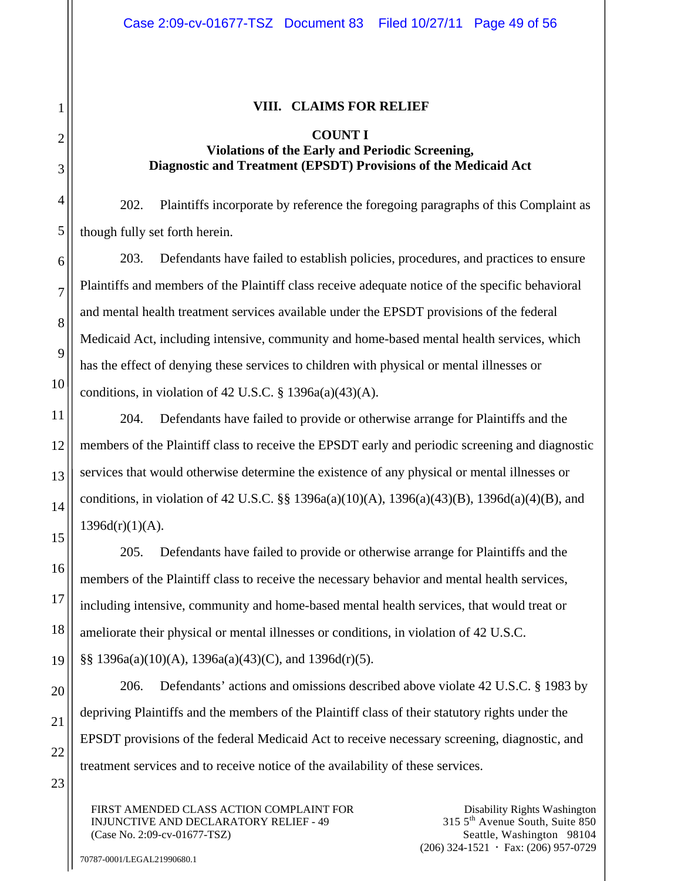#### **VIII. CLAIMS FOR RELIEF**

#### **COUNT I Violations of the Early and Periodic Screening, Diagnostic and Treatment (EPSDT) Provisions of the Medicaid Act**

202. Plaintiffs incorporate by reference the foregoing paragraphs of this Complaint as though fully set forth herein.

203. Defendants have failed to establish policies, procedures, and practices to ensure Plaintiffs and members of the Plaintiff class receive adequate notice of the specific behavioral and mental health treatment services available under the EPSDT provisions of the federal Medicaid Act, including intensive, community and home-based mental health services, which has the effect of denying these services to children with physical or mental illnesses or conditions, in violation of 42 U.S.C.  $\S$  1396a(a)(43)(A).

204. Defendants have failed to provide or otherwise arrange for Plaintiffs and the members of the Plaintiff class to receive the EPSDT early and periodic screening and diagnostic services that would otherwise determine the existence of any physical or mental illnesses or conditions, in violation of 42 U.S.C. §§ 1396a(a)(10)(A), 1396(a)(43)(B), 1396d(a)(4)(B), and  $1396d(r)(1)(A)$ .

205. Defendants have failed to provide or otherwise arrange for Plaintiffs and the members of the Plaintiff class to receive the necessary behavior and mental health services, including intensive, community and home-based mental health services, that would treat or ameliorate their physical or mental illnesses or conditions, in violation of 42 U.S.C.

§§ 1396a(a)(10)(A), 1396a(a)(43)(C), and 1396d(r)(5).

206. Defendants' actions and omissions described above violate 42 U.S.C. § 1983 by depriving Plaintiffs and the members of the Plaintiff class of their statutory rights under the EPSDT provisions of the federal Medicaid Act to receive necessary screening, diagnostic, and treatment services and to receive notice of the availability of these services.

FIRST AMENDED CLASS ACTION COMPLAINT FOR INJUNCTIVE AND DECLARATORY RELIEF - 49 (Case No. 2:09-cv-01677-TSZ)

Disability Rights Washington 315 5th Avenue South, Suite 850 Seattle, Washington 98104  $(206)$  324-1521  $\cdot$  Fax: (206) 957-0729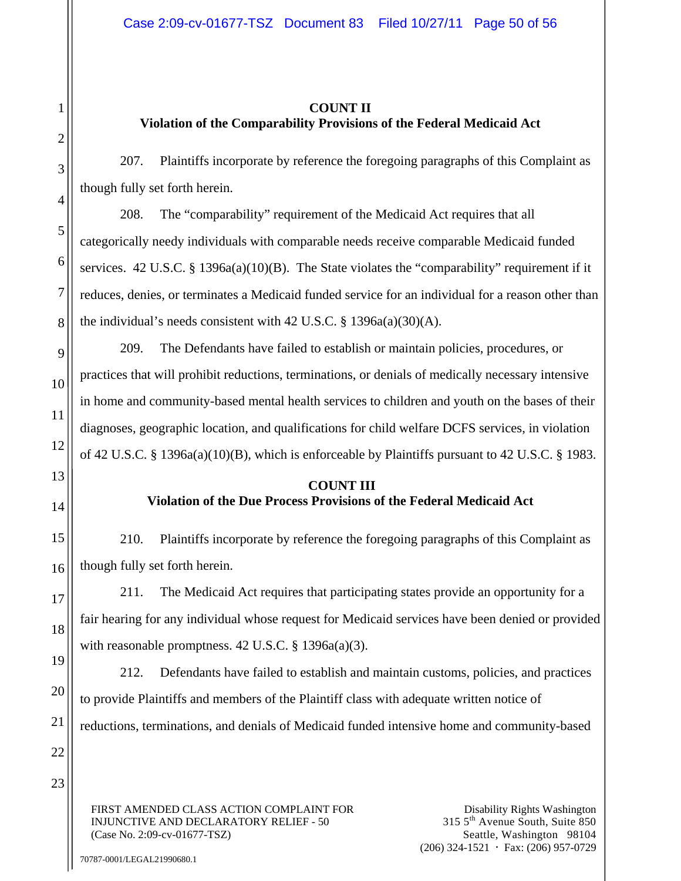## **COUNT II Violation of the Comparability Provisions of the Federal Medicaid Act**

207. Plaintiffs incorporate by reference the foregoing paragraphs of this Complaint as though fully set forth herein.

208. The "comparability" requirement of the Medicaid Act requires that all categorically needy individuals with comparable needs receive comparable Medicaid funded services.  $42 \text{ U.S.C. }$  §  $1396a(a)(10)(B)$ . The State violates the "comparability" requirement if it reduces, denies, or terminates a Medicaid funded service for an individual for a reason other than the individual's needs consistent with 42 U.S.C.  $\S$  1396a(a)(30)(A).

209. The Defendants have failed to establish or maintain policies, procedures, or practices that will prohibit reductions, terminations, or denials of medically necessary intensive in home and community-based mental health services to children and youth on the bases of their diagnoses, geographic location, and qualifications for child welfare DCFS services, in violation of 42 U.S.C. § 1396a(a)(10)(B), which is enforceable by Plaintiffs pursuant to 42 U.S.C. § 1983.

# **COUNT III Violation of the Due Process Provisions of the Federal Medicaid Act**

210. Plaintiffs incorporate by reference the foregoing paragraphs of this Complaint as though fully set forth herein.

211. The Medicaid Act requires that participating states provide an opportunity for a fair hearing for any individual whose request for Medicaid services have been denied or provided with reasonable promptness. 42 U.S.C. § 1396a(a)(3).

212. Defendants have failed to establish and maintain customs, policies, and practices to provide Plaintiffs and members of the Plaintiff class with adequate written notice of reductions, terminations, and denials of Medicaid funded intensive home and community-based

FIRST AMENDED CLASS ACTION COMPLAINT FOR INJUNCTIVE AND DECLARATORY RELIEF - 50 (Case No. 2:09-cv-01677-TSZ)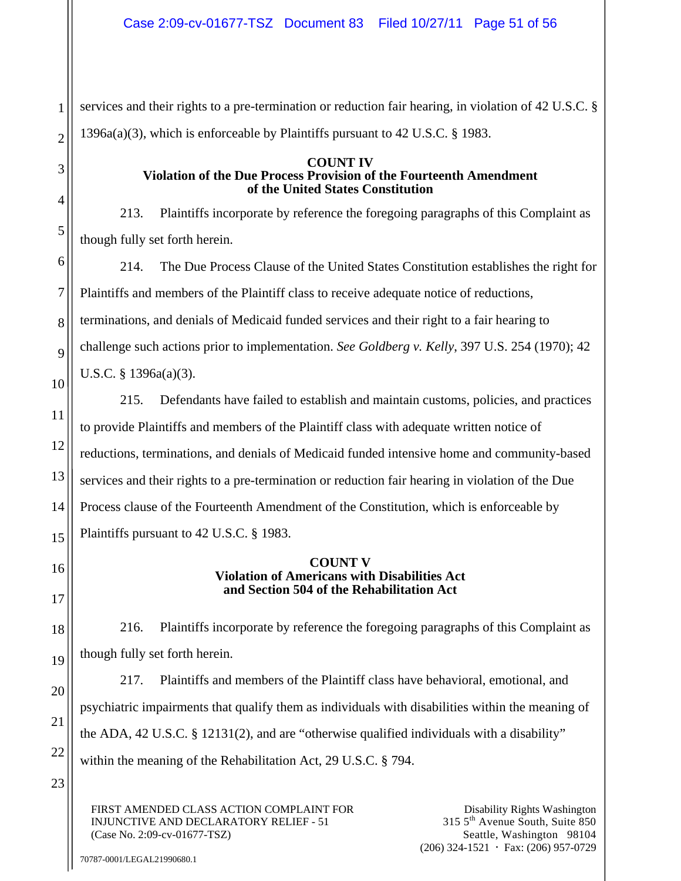services and their rights to a pre-termination or reduction fair hearing, in violation of 42 U.S.C. § 1396a(a)(3), which is enforceable by Plaintiffs pursuant to 42 U.S.C. § 1983.

#### **COUNT IV Violation of the Due Process Provision of the Fourteenth Amendment of the United States Constitution**

213. Plaintiffs incorporate by reference the foregoing paragraphs of this Complaint as though fully set forth herein.

214. The Due Process Clause of the United States Constitution establishes the right for Plaintiffs and members of the Plaintiff class to receive adequate notice of reductions, terminations, and denials of Medicaid funded services and their right to a fair hearing to challenge such actions prior to implementation. *See Goldberg v. Kelly*, 397 U.S. 254 (1970); 42 U.S.C. § 1396a(a)(3).

215. Defendants have failed to establish and maintain customs, policies, and practices to provide Plaintiffs and members of the Plaintiff class with adequate written notice of reductions, terminations, and denials of Medicaid funded intensive home and community-based services and their rights to a pre-termination or reduction fair hearing in violation of the Due Process clause of the Fourteenth Amendment of the Constitution, which is enforceable by Plaintiffs pursuant to 42 U.S.C. § 1983.

#### **COUNT V Violation of Americans with Disabilities Act and Section 504 of the Rehabilitation Act**

216. Plaintiffs incorporate by reference the foregoing paragraphs of this Complaint as though fully set forth herein.

217. Plaintiffs and members of the Plaintiff class have behavioral, emotional, and psychiatric impairments that qualify them as individuals with disabilities within the meaning of the ADA, 42 U.S.C. § 12131(2), and are "otherwise qualified individuals with a disability" within the meaning of the Rehabilitation Act, 29 U.S.C. § 794.

FIRST AMENDED CLASS ACTION COMPLAINT FOR INJUNCTIVE AND DECLARATORY RELIEF - 51 (Case No. 2:09-cv-01677-TSZ)

Disability Rights Washington 315 5th Avenue South, Suite 850 Seattle, Washington 98104  $(206)$  324-1521  $\cdot$  Fax: (206) 957-0729

1

2

3

70787-0001/LEGAL21990680.1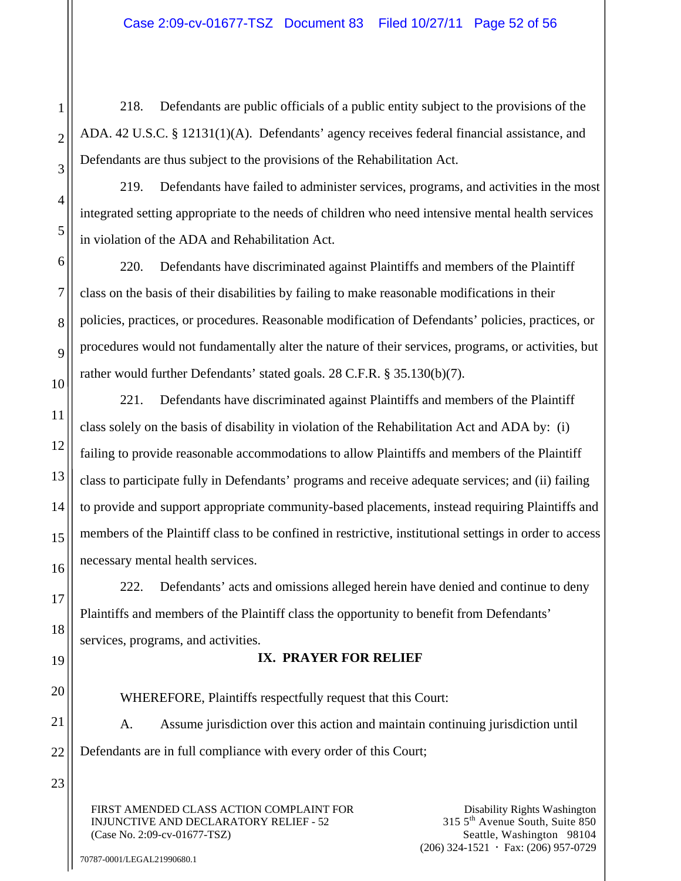218. Defendants are public officials of a public entity subject to the provisions of the ADA. 42 U.S.C. § 12131(1)(A). Defendants' agency receives federal financial assistance, and Defendants are thus subject to the provisions of the Rehabilitation Act.

219. Defendants have failed to administer services, programs, and activities in the most integrated setting appropriate to the needs of children who need intensive mental health services in violation of the ADA and Rehabilitation Act.

220. Defendants have discriminated against Plaintiffs and members of the Plaintiff class on the basis of their disabilities by failing to make reasonable modifications in their policies, practices, or procedures. Reasonable modification of Defendants' policies, practices, or procedures would not fundamentally alter the nature of their services, programs, or activities, but rather would further Defendants' stated goals. 28 C.F.R. § 35.130(b)(7).

221. Defendants have discriminated against Plaintiffs and members of the Plaintiff class solely on the basis of disability in violation of the Rehabilitation Act and ADA by: (i) failing to provide reasonable accommodations to allow Plaintiffs and members of the Plaintiff class to participate fully in Defendants' programs and receive adequate services; and (ii) failing to provide and support appropriate community-based placements, instead requiring Plaintiffs and members of the Plaintiff class to be confined in restrictive, institutional settings in order to access necessary mental health services.

222. Defendants' acts and omissions alleged herein have denied and continue to deny Plaintiffs and members of the Plaintiff class the opportunity to benefit from Defendants' services, programs, and activities.

# **IX. PRAYER FOR RELIEF**

WHEREFORE, Plaintiffs respectfully request that this Court:

A. Assume jurisdiction over this action and maintain continuing jurisdiction until Defendants are in full compliance with every order of this Court;

FIRST AMENDED CLASS ACTION COMPLAINT FOR INJUNCTIVE AND DECLARATORY RELIEF - 52 (Case No. 2:09-cv-01677-TSZ)

Disability Rights Washington 315 5th Avenue South, Suite 850 Seattle, Washington 98104  $(206)$  324-1521  $\cdot$  Fax: (206) 957-0729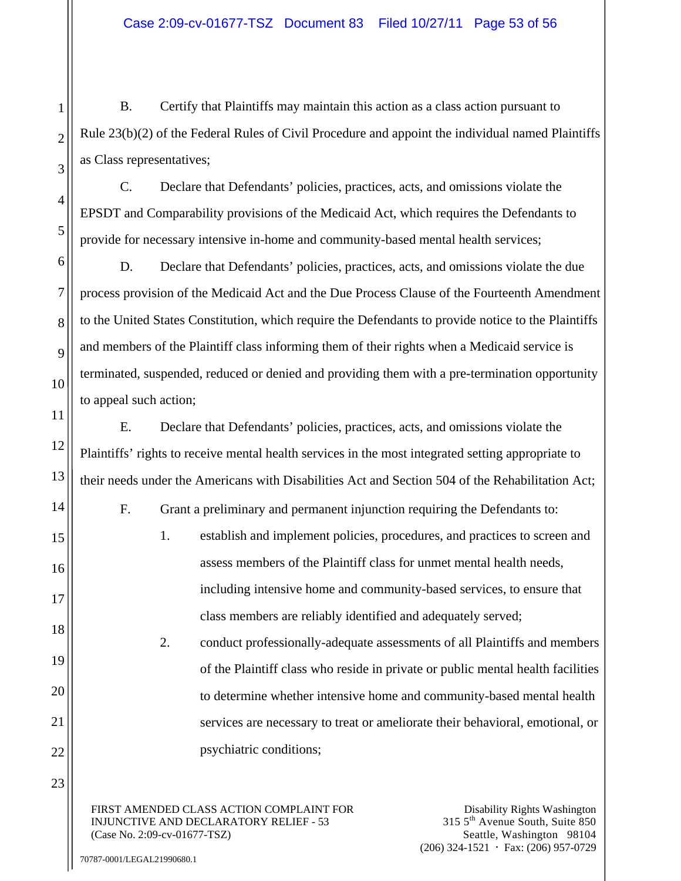B. Certify that Plaintiffs may maintain this action as a class action pursuant to Rule 23(b)(2) of the Federal Rules of Civil Procedure and appoint the individual named Plaintiffs as Class representatives;

C. Declare that Defendants' policies, practices, acts, and omissions violate the EPSDT and Comparability provisions of the Medicaid Act, which requires the Defendants to provide for necessary intensive in-home and community-based mental health services;

D. Declare that Defendants' policies, practices, acts, and omissions violate the due process provision of the Medicaid Act and the Due Process Clause of the Fourteenth Amendment to the United States Constitution, which require the Defendants to provide notice to the Plaintiffs and members of the Plaintiff class informing them of their rights when a Medicaid service is terminated, suspended, reduced or denied and providing them with a pre-termination opportunity to appeal such action;

E. Declare that Defendants' policies, practices, acts, and omissions violate the Plaintiffs' rights to receive mental health services in the most integrated setting appropriate to their needs under the Americans with Disabilities Act and Section 504 of the Rehabilitation Act;

F. Grant a preliminary and permanent injunction requiring the Defendants to:

1. establish and implement policies, procedures, and practices to screen and assess members of the Plaintiff class for unmet mental health needs, including intensive home and community-based services, to ensure that class members are reliably identified and adequately served;

2. conduct professionally-adequate assessments of all Plaintiffs and members of the Plaintiff class who reside in private or public mental health facilities to determine whether intensive home and community-based mental health services are necessary to treat or ameliorate their behavioral, emotional, or psychiatric conditions;

FIRST AMENDED CLASS ACTION COMPLAINT FOR INJUNCTIVE AND DECLARATORY RELIEF - 53 (Case No. 2:09-cv-01677-TSZ)

Disability Rights Washington 315 5th Avenue South, Suite 850 Seattle, Washington 98104  $(206)$  324-1521  $\cdot$  Fax: (206) 957-0729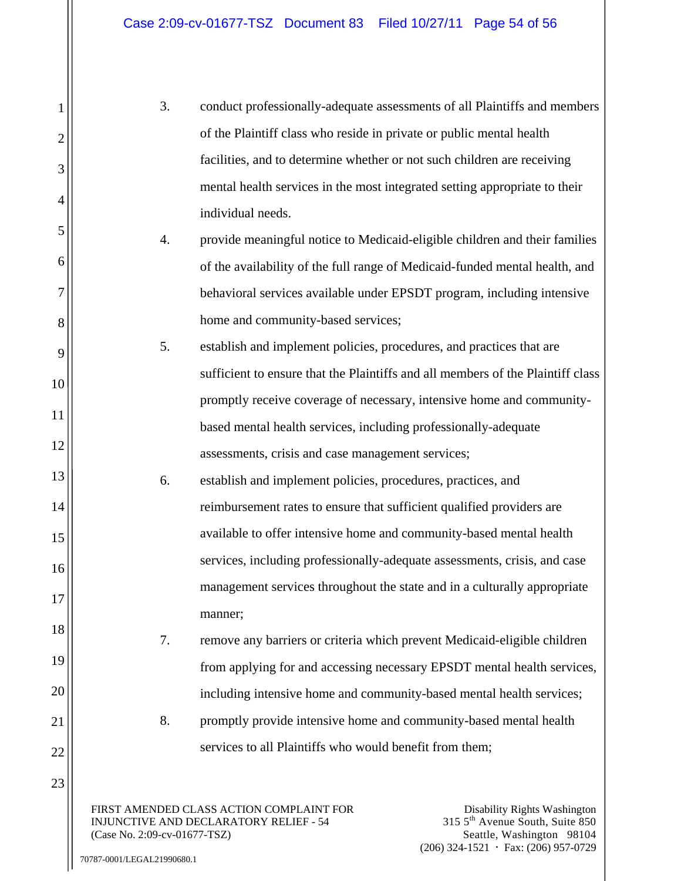| 3. | conduct professionally-adequate assessments of all Plaintiffs and members  |
|----|----------------------------------------------------------------------------|
|    | of the Plaintiff class who reside in private or public mental health       |
|    | facilities, and to determine whether or not such children are receiving    |
|    | mental health services in the most integrated setting appropriate to their |
|    | individual needs.                                                          |

- 4. provide meaningful notice to Medicaid-eligible children and their families of the availability of the full range of Medicaid-funded mental health, and behavioral services available under EPSDT program, including intensive home and community-based services;
- 5. establish and implement policies, procedures, and practices that are sufficient to ensure that the Plaintiffs and all members of the Plaintiff class promptly receive coverage of necessary, intensive home and communitybased mental health services, including professionally-adequate assessments, crisis and case management services;
- 6. establish and implement policies, procedures, practices, and reimbursement rates to ensure that sufficient qualified providers are available to offer intensive home and community-based mental health services, including professionally-adequate assessments, crisis, and case management services throughout the state and in a culturally appropriate manner;
	- 7. remove any barriers or criteria which prevent Medicaid-eligible children from applying for and accessing necessary EPSDT mental health services, including intensive home and community-based mental health services;
	- 8. promptly provide intensive home and community-based mental health services to all Plaintiffs who would benefit from them;

FIRST AMENDED CLASS ACTION COMPLAINT FOR INJUNCTIVE AND DECLARATORY RELIEF - 54 (Case No. 2:09-cv-01677-TSZ)

1

2

3

4

5

6

7

8

9

10

11

12

13

14

15

16

17

18

19

20

21

22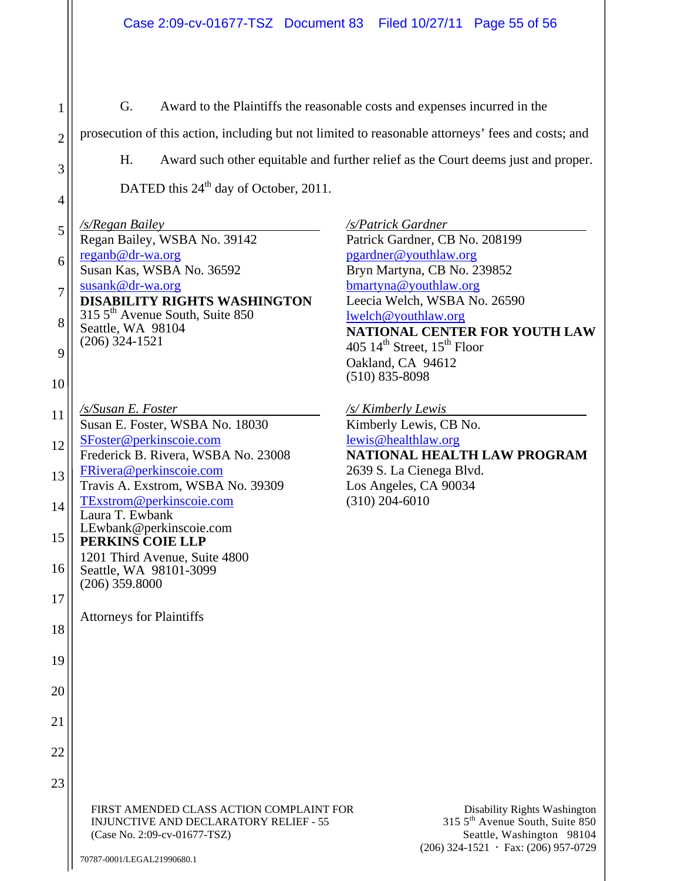G. Award to the Plaintiffs the reasonable costs and expenses incurred in the

prosecution of this action, including but not limited to reasonable attorneys' fees and costs; and

H. Award such other equitable and further relief as the Court deems just and proper.

DATED this 24<sup>th</sup> day of October, 2011.

1

2

3

4

5 6 7 8 9 10 11 12 13 14 15 16 17 18 19 20 21 22 23 */s/Regan Bailey*  Regan Bailey, WSBA No. 39142 reganb@dr-wa.org Susan Kas, WSBA No. 36592 susank@dr-wa.org **DISABILITY RIGHTS WASHINGTON**  315 5th Avenue South, Suite 850 Seattle, WA 98104 (206) 324-1521 */s/Susan E. Foster*  Susan E. Foster, WSBA No. 18030 SFoster@perkinscoie.com Frederick B. Rivera, WSBA No. 23008 FRivera@perkinscoie.com Travis A. Exstrom, WSBA No. 39309 TExstrom@perkinscoie.com Laura T. Ewbank LEwbank@perkinscoie.com **PERKINS COIE LLP**  1201 Third Avenue, Suite 4800 Seattle, WA 98101-3099 (206) 359.8000 Attorneys for Plaintiffs

*/s/Patrick Gardner*  Patrick Gardner, CB No. 208199 pgardner@youthlaw.org Bryn Martyna, CB No. 239852 bmartyna@youthlaw.org Leecia Welch, WSBA No. 26590 lwelch@youthlaw.org **NATIONAL CENTER FOR YOUTH LAW**  405  $14<sup>th</sup>$  Street,  $15<sup>th</sup>$  Floor Oakland, CA 94612 (510) 835-8098

*/s/ Kimberly Lewis*  Kimberly Lewis, CB No. lewis@healthlaw.org **NATIONAL HEALTH LAW PROGRAM**  2639 S. La Cienega Blvd. Los Angeles, CA 90034 (310) 204-6010

FIRST AMENDED CLASS ACTION COMPLAINT FOR INJUNCTIVE AND DECLARATORY RELIEF - 55 (Case No. 2:09-cv-01677-TSZ)

Disability Rights Washington 315 5th Avenue South, Suite 850 Seattle, Washington 98104  $(206)$  324-1521  $\cdot$  Fax: (206) 957-0729